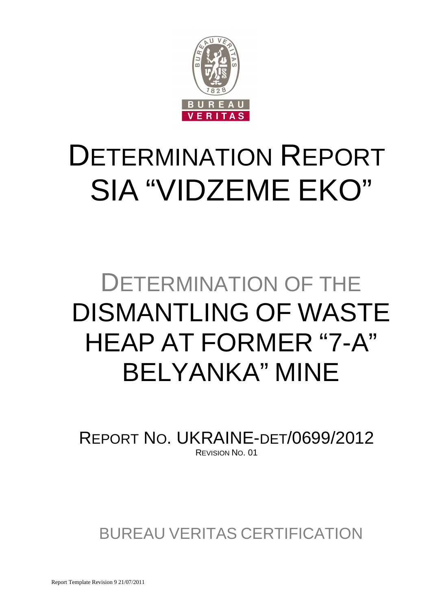

# DETERMINATION REPORT SIA "VIDZEME EKO"

## DETERMINATION OF THE DISMANTLING OF WASTE HEAP AT FORMER "7-A" BELYANKA" MINE

REPORT NO. UKRAINE-DET/0699/2012 REVISION NO. 01

BUREAU VERITAS CERTIFICATION

Report Template Revision 9 21/07/2011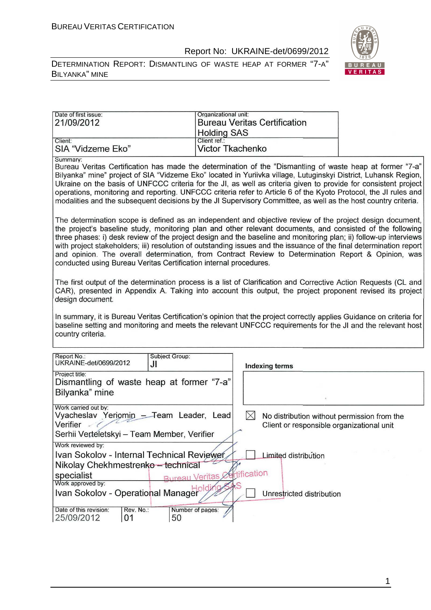



| Date of first issue:<br>21/09/2012                                                                                                                                                                                                                                                                                                                                                                                                                                                                                                                                                                                                              | Organizational unit:                                   |              | <b>Bureau Veritas Certification</b>                                                      |  |
|-------------------------------------------------------------------------------------------------------------------------------------------------------------------------------------------------------------------------------------------------------------------------------------------------------------------------------------------------------------------------------------------------------------------------------------------------------------------------------------------------------------------------------------------------------------------------------------------------------------------------------------------------|--------------------------------------------------------|--------------|------------------------------------------------------------------------------------------|--|
| Client:<br>SIA "Vidzeme Eko"                                                                                                                                                                                                                                                                                                                                                                                                                                                                                                                                                                                                                    | <b>Holding SAS</b><br>Client ref.:<br>Victor Tkachenko |              |                                                                                          |  |
| Summary:<br>Bureau Veritas Certification has made the determination of the "Dismantling of waste heap at former "7-a"<br>Bilyanka" mine" project of SIA "Vidzeme Eko" located in Yuriivka village, Lutuginskyi District, Luhansk Region,<br>Ukraine on the basis of UNFCCC criteria for the JI, as well as criteria given to provide for consistent project<br>operations, monitoring and reporting. UNFCCC criteria refer to Article 6 of the Kyoto Protocol, the JI rules and<br>modalities and the subsequent decisions by the JI Supervisory Committee, as well as the host country criteria.                                               |                                                        |              |                                                                                          |  |
| The determination scope is defined as an independent and objective review of the project design document,<br>the project's baseline study, monitoring plan and other relevant documents, and consisted of the following<br>three phases: i) desk review of the project design and the baseline and monitoring plan; ii) follow-up interviews<br>with project stakeholders; iii) resolution of outstanding issues and the issuance of the final determination report<br>and opinion. The overall determination, from Contract Review to Determination Report & Opinion, was<br>conducted using Bureau Veritas Certification internal procedures. |                                                        |              |                                                                                          |  |
| The first output of the determination process is a list of Clarification and Corrective Action Requests (CL and<br>CAR), presented in Appendix A. Taking into account this output, the project proponent revised its project<br>design document.                                                                                                                                                                                                                                                                                                                                                                                                |                                                        |              |                                                                                          |  |
| In summary, it is Bureau Veritas Certification's opinion that the project correctly applies Guidance on criteria for<br>baseline setting and monitoring and meets the relevant UNFCCC requirements for the JI and the relevant host<br>country criteria.                                                                                                                                                                                                                                                                                                                                                                                        |                                                        |              |                                                                                          |  |
| Report No.:<br><b>Subject Group:</b><br>UKRAINE-det/0699/2012<br>JI                                                                                                                                                                                                                                                                                                                                                                                                                                                                                                                                                                             |                                                        |              | <b>Indexing terms</b>                                                                    |  |
| Project title:<br>Dismantling of waste heap at former "7-a"<br>Bilyanka" mine                                                                                                                                                                                                                                                                                                                                                                                                                                                                                                                                                                   |                                                        |              |                                                                                          |  |
| Work carried out by:<br>Vyacheslav Yeriomin - Team Leader, Lead<br>Verifier<br>Serhii Verteletskyi - Team Member, Verifier                                                                                                                                                                                                                                                                                                                                                                                                                                                                                                                      |                                                        | $\boxtimes$  | No distribution without permission from the<br>Client or responsible organizational unit |  |
| Work reviewed by:<br>Ivan Sokolov - Internal Technical Reviewer<br>Nikolay Chekhmestrenko - technical<br>specialist<br>Work approved by:<br>Ivan Sokolov - Operational Manager                                                                                                                                                                                                                                                                                                                                                                                                                                                                  | <b>Bureau Veritas &amp;</b>                            | ertification | Limited distribution<br>Unrestricted distribution                                        |  |
| Date of this revision:<br>Rev. No.:<br>25/09/2012<br>01<br>50                                                                                                                                                                                                                                                                                                                                                                                                                                                                                                                                                                                   | Number of pages:                                       |              |                                                                                          |  |

1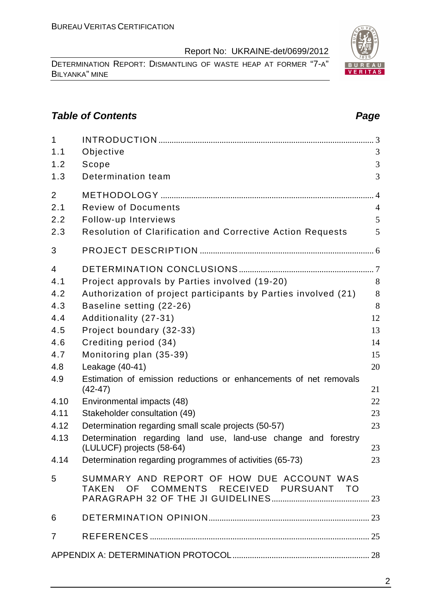DETERMINATION REPORT: DISMANTLING OF WASTE HEAP AT FORMER "7-A" BILYANKA" MINE

#### **Table of Contents Page 2018**

| $\mathbf{1}$<br>1.1 | Objective                                                                           | 3              |
|---------------------|-------------------------------------------------------------------------------------|----------------|
|                     |                                                                                     |                |
| 1.2<br>1.3          | Scope<br>Determination team                                                         | 3<br>3         |
| $\overline{2}$      |                                                                                     |                |
| 2.1                 | <b>Review of Documents</b>                                                          | $\overline{4}$ |
| 2.2                 | Follow-up Interviews                                                                | 5              |
| 2.3                 | Resolution of Clarification and Corrective Action Requests                          | 5              |
| 3                   |                                                                                     |                |
| $\overline{4}$      |                                                                                     |                |
| 4.1                 | Project approvals by Parties involved (19-20)                                       | 8              |
| 4.2                 | Authorization of project participants by Parties involved (21)                      | 8              |
| 4.3                 | Baseline setting (22-26)                                                            | 8              |
| 4.4                 | Additionality (27-31)                                                               | 12             |
| 4.5                 | Project boundary (32-33)                                                            | 13             |
| 4.6                 | Crediting period (34)                                                               | 14             |
| 4.7                 | Monitoring plan (35-39)                                                             | 15             |
| 4.8                 | Leakage (40-41)                                                                     | 20             |
| 4.9                 | Estimation of emission reductions or enhancements of net removals<br>$(42-47)$      | 21             |
| 4.10                | Environmental impacts (48)                                                          | 22             |
| 4.11                | Stakeholder consultation (49)                                                       | 23             |
| 4.12                | Determination regarding small scale projects (50-57)                                | 23             |
| 4.13                | Determination regarding land use, land-use change and forestry                      |                |
|                     | (LULUCF) projects (58-64)                                                           | 23             |
|                     | 4.14 Determination regarding programmes of activities (65-73)                       | 23             |
| 5                   | SUMMARY AND REPORT OF HOW DUE ACCOUNT WAS<br>TAKEN OF COMMENTS RECEIVED PURSUANT TO |                |
| 6                   |                                                                                     |                |
|                     |                                                                                     |                |
| $\overline{7}$      |                                                                                     |                |
|                     |                                                                                     |                |

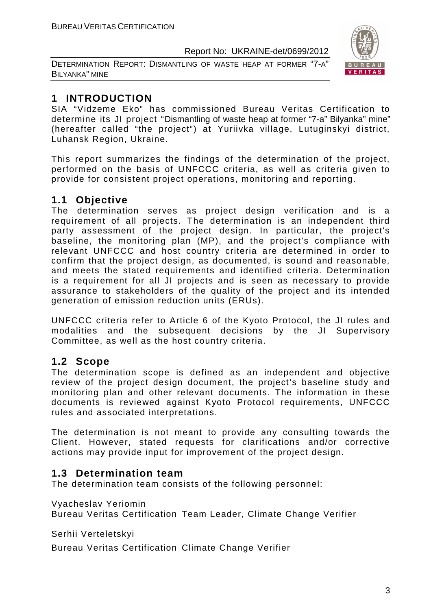DETERMINATION REPORT: DISMANTLING OF WASTE HEAP AT FORMER "7-A" BILYANKA" MINE



#### **1 INTRODUCTION**

SIA "Vidzeme Eko" has commissioned Bureau Veritas Certification to determine its JI project "Dismantling of waste heap at former "7-a" Bilyanka" mine" (hereafter called "the project") at Yuriivka village, Lutuginskyi district, Luhansk Region, Ukraine.

This report summarizes the findings of the determination of the project, performed on the basis of UNFCCC criteria, as well as criteria given to provide for consistent project operations, monitoring and reporting.

#### **1.1 Objective**

The determination serves as project design verification and is a requirement of all projects. The determination is an independent third party assessment of the project design. In particular, the project's baseline, the monitoring plan (MP), and the project's compliance with relevant UNFCCC and host country criteria are determined in order to confirm that the project design, as documented, is sound and reasonable, and meets the stated requirements and identified criteria. Determination is a requirement for all JI projects and is seen as necessary to provide assurance to stakeholders of the quality of the project and its intended generation of emission reduction units (ERUs).

UNFCCC criteria refer to Article 6 of the Kyoto Protocol, the JI rules and modalities and the subsequent decisions by the JI Supervisory Committee, as well as the host country criteria.

#### **1.2 Scope**

The determination scope is defined as an independent and objective review of the project design document, the project's baseline study and monitoring plan and other relevant documents. The information in these documents is reviewed against Kyoto Protocol requirements, UNFCCC rules and associated interpretations.

The determination is not meant to provide any consulting towards the Client. However, stated requests for clarifications and/or corrective actions may provide input for improvement of the project design.

#### **1.3 Determination team**

The determination team consists of the following personnel:

Vyacheslav Yeriomin

Bureau Veritas Certification Team Leader, Climate Change Verifier

Serhii Verteletskyi

Bureau Veritas Certification Climate Change Verifier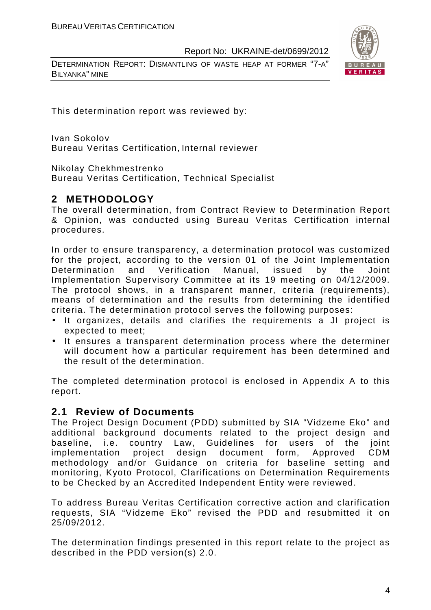DETERMINATION REPORT: DISMANTLING OF WASTE HEAP AT FORMER "7-A" BILYANKA" MINE



This determination report was reviewed by:

Ivan Sokolov Bureau Veritas Certification, Internal reviewer

Nikolay Chekhmestrenko

Bureau Veritas Certification, Technical Specialist

#### **2 METHODOLOGY**

The overall determination, from Contract Review to Determination Report & Opinion, was conducted using Bureau Veritas Certification internal procedures.

In order to ensure transparency, a determination protocol was customized for the project, according to the version 01 of the Joint Implementation Determination and Verification Manual, issued by the Joint Implementation Supervisory Committee at its 19 meeting on 04/12/2009. The protocol shows, in a transparent manner, criteria (requirements), means of determination and the results from determining the identified criteria. The determination protocol serves the following purposes:

- It organizes, details and clarifies the requirements a JI project is expected to meet;
- It ensures a transparent determination process where the determiner will document how a particular requirement has been determined and the result of the determination.

The completed determination protocol is enclosed in Appendix A to this report.

#### **2.1 Review of Documents**

The Project Design Document (PDD) submitted by SIA "Vidzeme Eko" and additional background documents related to the project design and baseline, i.e. country Law, Guidelines for users of the joint implementation project design document form, Approved CDM methodology and/or Guidance on criteria for baseline setting and monitoring, Kyoto Protocol, Clarifications on Determination Requirements to be Checked by an Accredited Independent Entity were reviewed.

To address Bureau Veritas Certification corrective action and clarification requests, SIA "Vidzeme Eko" revised the PDD and resubmitted it on 25/09/2012.

The determination findings presented in this report relate to the project as described in the PDD version(s) 2.0.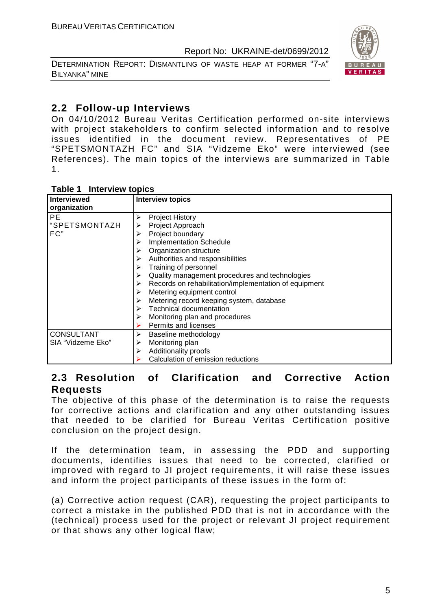DETERMINATION REPORT: DISMANTLING OF WASTE HEAP AT FORMER "7-A" BILYANKA" MINE



#### **2.2 Follow-up Interviews**

On 04/10/2012 Bureau Veritas Certification performed on-site interviews with project stakeholders to confirm selected information and to resolve issues identified in the document review. Representatives of PE "SPETSMONTAZH FC" and SIA "Vidzeme Eko" were interviewed (see References). The main topics of the interviews are summarized in Table 1.

| Table 1 Interview topics |  |
|--------------------------|--|
|--------------------------|--|

| <b>Interviewed</b> | <b>Interview topics</b>                               |
|--------------------|-------------------------------------------------------|
| organization       |                                                       |
| PE.                | <b>Project History</b><br>≻                           |
| "SPETSMONTAZH      | Project Approach<br>⋗                                 |
| FC"                | Project boundary<br>⋗                                 |
|                    | <b>Implementation Schedule</b>                        |
|                    | Organization structure                                |
|                    | Authorities and responsibilities                      |
|                    | Training of personnel<br>➤                            |
|                    | Quality management procedures and technologies<br>≻   |
|                    | Records on rehabilitation/implementation of equipment |
|                    | Metering equipment control                            |
|                    | Metering record keeping system, database              |
|                    | <b>Technical documentation</b>                        |
|                    | Monitoring plan and procedures                        |
|                    | Permits and licenses                                  |
| <b>CONSULTANT</b>  | Baseline methodology                                  |
| SIA "Vidzeme Eko"  | Monitoring plan<br>⋗                                  |
|                    | Additionality proofs<br>⋗                             |
|                    | Calculation of emission reductions                    |

#### **2.3 Resolution of Clarification and Corrective Action Requests**

The objective of this phase of the determination is to raise the requests for corrective actions and clarification and any other outstanding issues that needed to be clarified for Bureau Veritas Certification positive conclusion on the project design.

If the determination team, in assessing the PDD and supporting documents, identifies issues that need to be corrected, clarified or improved with regard to JI project requirements, it will raise these issues and inform the project participants of these issues in the form of:

(a) Corrective action request (CAR), requesting the project participants to correct a mistake in the published PDD that is not in accordance with the (technical) process used for the project or relevant JI project requirement or that shows any other logical flaw;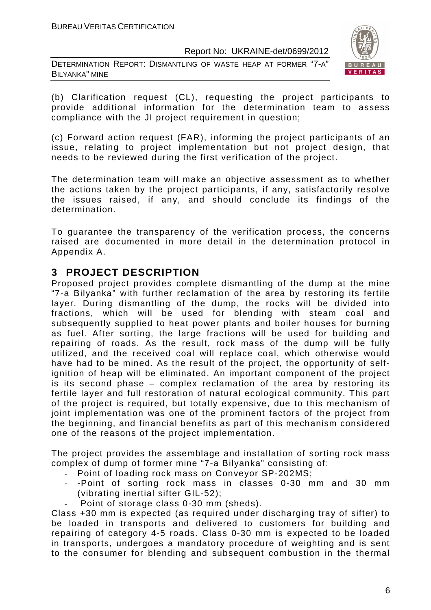DETERMINATION REPORT: DISMANTLING OF WASTE HEAP AT FORMER "7-A" BILYANKA" MINE



(b) Clarification request (CL), requesting the project participants to provide additional information for the determination team to assess compliance with the JI project requirement in question;

(c) Forward action request (FAR), informing the project participants of an issue, relating to project implementation but not project design, that needs to be reviewed during the first verification of the project.

The determination team will make an objective assessment as to whether the actions taken by the project participants, if any, satisfactorily resolve the issues raised, if any, and should conclude its findings of the determination.

To guarantee the transparency of the verification process, the concerns raised are documented in more detail in the determination protocol in Appendix A.

#### **3 PROJECT DESCRIPTION**

Proposed project provides complete dismantling of the dump at the mine "7-a Bilyanka" with further reclamation of the area by restoring its fertile layer. During dismantling of the dump, the rocks will be divided into fractions, which will be used for blending with steam coal and subsequently supplied to heat power plants and boiler houses for burning as fuel. After sorting, the large fractions will be used for building and repairing of roads. As the result, rock mass of the dump will be fully utilized, and the received coal will replace coal, which otherwise would have had to be mined. As the result of the project, the opportunity of selfignition of heap will be eliminated. An important component of the project is its second phase – complex reclamation of the area by restoring its fertile layer and full restoration of natural ecological community. This part of the project is required, but totally expensive, due to this mechanism of joint implementation was one of the prominent factors of the project from the beginning, and financial benefits as part of this mechanism considered one of the reasons of the project implementation.

The project provides the assemblage and installation of sorting rock mass complex of dump of former mine "7-a Bilyanka" consisting of:

- Point of loading rock mass on Conveyor SP-202MS;
- -Point of sorting rock mass in classes 0-30 mm and 30 mm (vibrating inertial sifter GIL-52);
- Point of storage class 0-30 mm (sheds).

Class +30 mm is expected (as required under discharging tray of sifter) to be loaded in transports and delivered to customers for building and repairing of category 4-5 roads. Class 0-30 mm is expected to be loaded in transports, undergoes a mandatory procedure of weighting and is sent to the consumer for blending and subsequent combustion in the thermal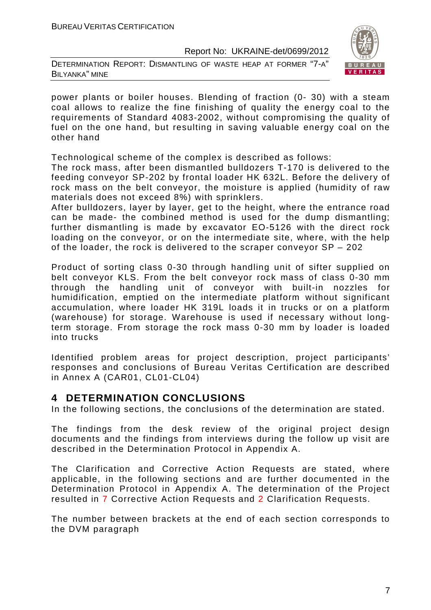DETERMINATION REPORT: DISMANTLING OF WASTE HEAP AT FORMER "7-A" BILYANKA" MINE



power plants or boiler houses. Blending of fraction (0- 30) with a steam coal allows to realize the fine finishing of quality the energy coal to the requirements of Standard 4083-2002, without compromising the quality of fuel on the one hand, but resulting in saving valuable energy coal on the other hand

Technological scheme of the complex is described as follows:

The rock mass, after been dismantled bulldozers T-170 is delivered to the feeding conveyor SP-202 by frontal loader HK 632L. Before the delivery of rock mass on the belt conveyor, the moisture is applied (humidity of raw materials does not exceed 8%) with sprinklers.

After bulldozers, layer by layer, get to the height, where the entrance road can be made- the combined method is used for the dump dismantling; further dismantling is made by excavator EO-5126 with the direct rock loading on the conveyor, or on the intermediate site, where, with the help of the loader, the rock is delivered to the scraper conveyor SP – 202

Product of sorting class 0-30 through handling unit of sifter supplied on belt conveyor KLS. From the belt conveyor rock mass of class 0-30 mm through the handling unit of conveyor with built-in nozzles for humidification, emptied on the intermediate platform without significant accumulation, where loader HK 319L loads it in trucks or on a platform (warehouse) for storage. Warehouse is used if necessary without longterm storage. From storage the rock mass 0-30 mm by loader is loaded into trucks

Identified problem areas for project description, project participants' responses and conclusions of Bureau Veritas Certification are described in Annex A (CAR01, CL01-CL04)

#### **4 DETERMINATION CONCLUSIONS**

In the following sections, the conclusions of the determination are stated.

The findings from the desk review of the original project design documents and the findings from interviews during the follow up visit are described in the Determination Protocol in Appendix A.

The Clarification and Corrective Action Requests are stated, where applicable, in the following sections and are further documented in the Determination Protocol in Appendix A. The determination of the Project resulted in 7 Corrective Action Requests and 2 Clarification Requests.

The number between brackets at the end of each section corresponds to the DVM paragraph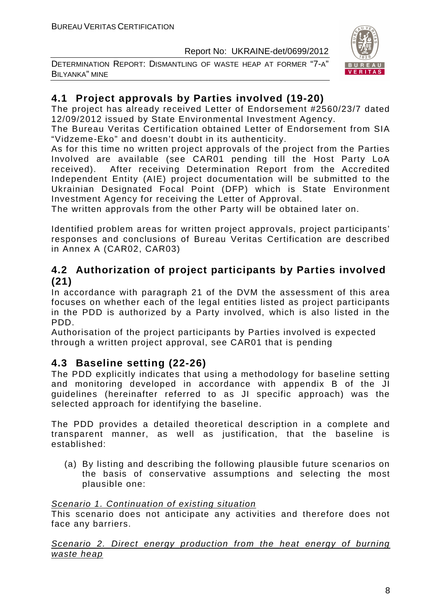DETERMINATION REPORT: DISMANTLING OF WASTE HEAP AT FORMER "7-A" BILYANKA" MINE



#### **4.1 Project approvals by Parties involved (19-20)**

The project has already received Letter of Endorsement #2560/23/7 dated 12/09/2012 issued by State Environmental Investment Agency.

The Bureau Veritas Certification obtained Letter of Endorsement from SIA "Vidzeme-Eko" and doesn't doubt in its authenticity.

As for this time no written project approvals of the project from the Parties Involved are available (see CAR01 pending till the Host Party LoA received). After receiving Determination Report from the Accredited Independent Entity (AIE) project documentation will be submitted to the Ukrainian Designated Focal Point (DFP) which is State Environment Investment Agency for receiving the Letter of Approval.

The written approvals from the other Party will be obtained later on.

Identified problem areas for written project approvals, project participants' responses and conclusions of Bureau Veritas Certification are described in Annex A (CAR02, CAR03)

#### **4.2 Authorization of project participants by Parties involved (21)**

In accordance with paragraph 21 of the DVM the assessment of this area focuses on whether each of the legal entities listed as project participants in the PDD is authorized by a Party involved, which is also listed in the PDD.

Authorisation of the project participants by Parties involved is expected through a written project approval, see CAR01 that is pending

#### **4.3 Baseline setting (22-26)**

The PDD explicitly indicates that using a methodology for baseline setting and monitoring developed in accordance with appendix B of the JI guidelines (hereinafter referred to as JI specific approach) was the selected approach for identifying the baseline.

The PDD provides a detailed theoretical description in a complete and transparent manner, as well as justification, that the baseline is established:

(a) By listing and describing the following plausible future scenarios on the basis of conservative assumptions and selecting the most plausible one:

#### Scenario 1. Continuation of existing situation

This scenario does not anticipate any activities and therefore does not face any barriers.

Scenario 2. Direct energy production from the heat energy of burning waste heap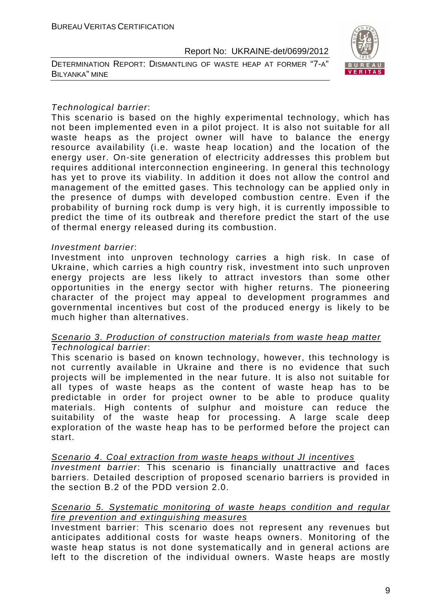DETERMINATION REPORT: DISMANTLING OF WASTE HEAP AT FORMER "7-A" BILYANKA" MINE



#### Technological barrier:

This scenario is based on the highly experimental technology, which has not been implemented even in a pilot project. It is also not suitable for all waste heaps as the project owner will have to balance the energy resource availability (i.e. waste heap location) and the location of the energy user. On-site generation of electricity addresses this problem but requires additional interconnection engineering. In general this technology has yet to prove its viability. In addition it does not allow the control and management of the emitted gases. This technology can be applied only in the presence of dumps with developed combustion centre. Even if the probability of burning rock dump is very high, it is currently impossible to predict the time of its outbreak and therefore predict the start of the use of thermal energy released during its combustion.

#### Investment barrier:

Investment into unproven technology carries a high risk. In case of Ukraine, which carries a high country risk, investment into such unproven energy projects are less likely to attract investors than some other opportunities in the energy sector with higher returns. The pioneering character of the project may appeal to development programmes and governmental incentives but cost of the produced energy is likely to be much higher than alternatives.

#### Scenario 3. Production of construction materials from waste heap matter Technological barrier:

This scenario is based on known technology, however, this technology is not currently available in Ukraine and there is no evidence that such projects will be implemented in the near future. It is also not suitable for all types of waste heaps as the content of waste heap has to be predictable in order for project owner to be able to produce quality materials. High contents of sulphur and moisture can reduce the suitability of the waste heap for processing. A large scale deep exploration of the waste heap has to be performed before the project can start.

#### Scenario 4. Coal extraction from waste heaps without JI incentives

Investment barrier: This scenario is financially unattractive and faces barriers. Detailed description of proposed scenario barriers is provided in the section B.2 of the PDD version 2.0.

#### Scenario 5. Systematic monitoring of waste heaps condition and regular fire prevention and extinguishing measures

Investment barrier: This scenario does not represent any revenues but anticipates additional costs for waste heaps owners. Monitoring of the waste heap status is not done systematically and in general actions are left to the discretion of the individual owners. Waste heaps are mostly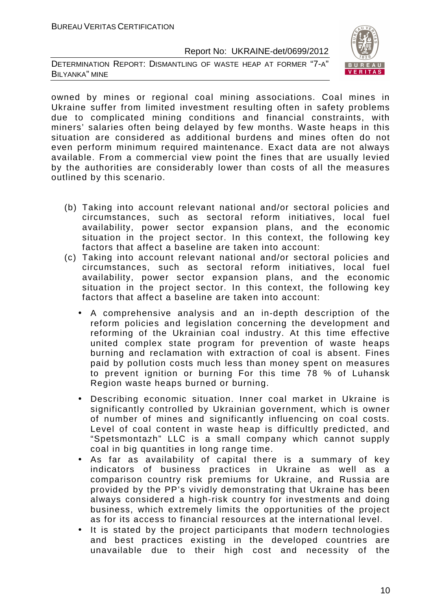DETERMINATION REPORT: DISMANTLING OF WASTE HEAP AT FORMER "7-A" BILYANKA" MINE



owned by mines or regional coal mining associations. Coal mines in Ukraine suffer from limited investment resulting often in safety problems due to complicated mining conditions and financial constraints, with miners' salaries often being delayed by few months. Waste heaps in this situation are considered as additional burdens and mines often do not even perform minimum required maintenance. Exact data are not always available. From a commercial view point the fines that are usually levied by the authorities are considerably lower than costs of all the measures outlined by this scenario.

- (b) Taking into account relevant national and/or sectoral policies and circumstances, such as sectoral reform initiatives, local fuel availability, power sector expansion plans, and the economic situation in the project sector. In this context, the following key factors that affect a baseline are taken into account:
- (c) Taking into account relevant national and/or sectoral policies and circumstances, such as sectoral reform initiatives, local fuel availability, power sector expansion plans, and the economic situation in the project sector. In this context, the following key factors that affect a baseline are taken into account:
	- A comprehensive analysis and an in-depth description of the reform policies and legislation concerning the development and reforming of the Ukrainian coal industry. At this time effective united complex state program for prevention of waste heaps burning and reclamation with extraction of coal is absent. Fines paid by pollution costs much less than money spent on measures to prevent ignition or burning For this time 78 % of Luhansk Region waste heaps burned or burning.
	- Describing economic situation. Inner coal market in Ukraine is significantly controlled by Ukrainian government, which is owner of number of mines and significantly influencing on coal costs. Level of coal content in waste heap is difficultly predicted, and "Spetsmontazh" LLC is a small company which cannot supply coal in big quantities in long range time.
	- As far as availability of capital there is a summary of key indicators of business practices in Ukraine as well as a comparison country risk premiums for Ukraine, and Russia are provided by the PP's vividly demonstrating that Ukraine has been always considered a high-risk country for investments and doing business, which extremely limits the opportunities of the project as for its access to financial resources at the international level.
	- It is stated by the project participants that modern technologies and best practices existing in the developed countries are unavailable due to their high cost and necessity of the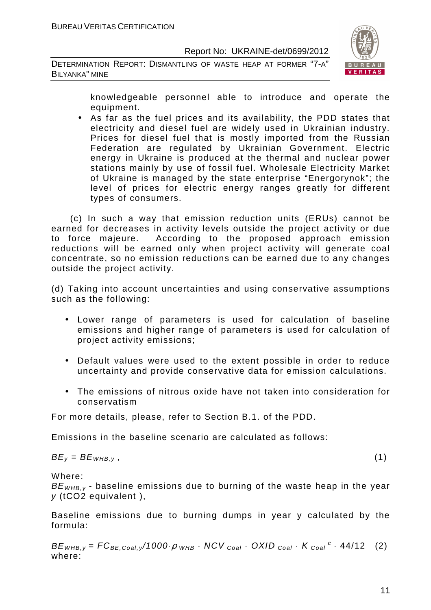DETERMINATION REPORT: DISMANTLING OF WASTE HEAP AT FORMER "7-A" BILYANKA" MINE



knowledgeable personnel able to introduce and operate the equipment.

• As far as the fuel prices and its availability, the PDD states that electricity and diesel fuel are widely used in Ukrainian industry. Prices for diesel fuel that is mostly imported from the Russian Federation are regulated by Ukrainian Government. Electric energy in Ukraine is produced at the thermal and nuclear power stations mainly by use of fossil fuel. Wholesale Electricity Market of Ukraine is managed by the state enterprise "Energorynok"; the level of prices for electric energy ranges greatly for different types of consumers.

 (c) In such a way that emission reduction units (ERUs) cannot be earned for decreases in activity levels outside the project activity or due to force majeure. According to the proposed approach emission reductions will be earned only when project activity will generate coal concentrate, so no emission reductions can be earned due to any changes outside the project activity.

(d) Taking into account uncertainties and using conservative assumptions such as the following:

- Lower range of parameters is used for calculation of baseline emissions and higher range of parameters is used for calculation of project activity emissions;
- Default values were used to the extent possible in order to reduce uncertainty and provide conservative data for emission calculations.
- The emissions of nitrous oxide have not taken into consideration for conservatism

For more details, please, refer to Section B.1. of the PDD.

Emissions in the baseline scenario are calculated as follows:

$$
BE_y = BE_{WHB,y}, \t\t(1)
$$

Where:

 $BE<sub>WHB-V</sub>$  - baseline emissions due to burning of the waste heap in the year y (tCO2 equivalent ),

Baseline emissions due to burning dumps in year y calculated by the formula:

 $BE_{WHB,y} = FC_{BE,Coal,y}$ /1000 $\rho_{WHB}$  · NCV  $_{Coal}$  · OXID  $_{Coal}$  · K  $_{Coal}$  <sup>c</sup> · 44/12 (2) where: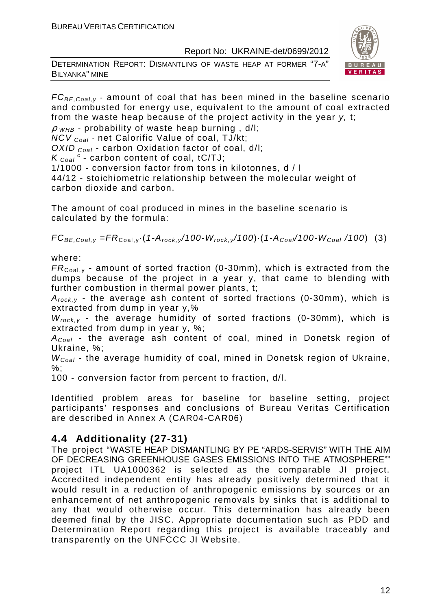DETERMINATION REPORT: DISMANTLING OF WASTE HEAP AT FORMER "7-A" BILYANKA" MINE



 $FC_{BE, coal,v}$  - amount of coal that has been mined in the baseline scenario and combusted for energy use, equivalent to the amount of coal extracted from the waste heap because of the project activity in the year y, t;  $\rho$  <sub>WHB</sub> - probability of waste heap burning, d/l; NCV Coal - net Calorific Value of coal, TJ/kt;

OXID  $_{Coal}$  - carbon Oxidation factor of coal, d/l:

 $K_{\text{Coal}}^{\text{c}}$  - carbon content of coal, tC/TJ;

1/1000 - conversion factor from tons in kilotonnes, d / l

44/12 - stoichiometric relationship between the molecular weight of carbon dioxide and carbon.

The amount of coal produced in mines in the baseline scenario is calculated by the formula:

 $FC_{BE,Coal,y} = FR_{Coal,y} \cdot (1-A_{rock,y}/100-W_{rock,y}/100) \cdot (1-A_{Coal}/100-W_{Coal}/100)$  (3)

where:

 $FR_{\text{Coal,v}}$  - amount of sorted fraction (0-30mm), which is extracted from the dumps because of the project in a year y, that came to blending with further combustion in thermal power plants, t;

 $A_{rock,y}$  - the average ash content of sorted fractions (0-30mm), which is extracted from dump in year y,%

 $W_{rock, v}$  - the average humidity of sorted fractions (0-30mm), which is extracted from dump in year y, %;

 $A_{Coal}$  - the average ash content of coal, mined in Donetsk region of Ukraine, %;

 $W_{Coal}$  - the average humidity of coal, mined in Donetsk region of Ukraine, %;

100 - conversion factor from percent to fraction, d/l.

Identified problem areas for baseline for baseline setting, project participants' responses and conclusions of Bureau Veritas Certification are described in Annex A (CAR04-CAR06)

#### **4.4 Additionality (27-31)**

The project "WASTE HEAP DISMANTLING BY PE "ARDS-SERVIS" WITH THE AIM OF DECREASING GREENHOUSE GASES EMISSIONS INTO THE ATMOSPHERE"" project ITL UA1000362 is selected as the comparable JI project. Accredited independent entity has already positively determined that it would result in a reduction of anthropogenic emissions by sources or an enhancement of net anthropogenic removals by sinks that is additional to any that would otherwise occur. This determination has already been deemed final by the JISC. Appropriate documentation such as PDD and Determination Report regarding this project is available traceably and transparently on the UNFCCC JI Website.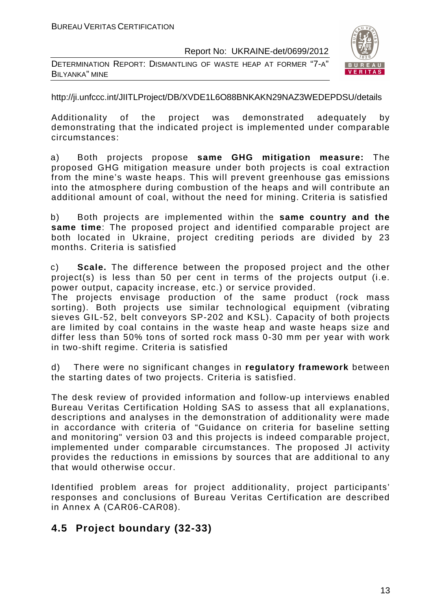DETERMINATION REPORT: DISMANTLING OF WASTE HEAP AT FORMER "7-A" BILYANKA" MINE



http://ji.unfccc.int/JIITLProject/DB/XVDE1L6O88BNKAKN29NAZ3WEDEPDSU/details

Additionality of the project was demonstrated adequately by demonstrating that the indicated project is implemented under comparable circumstances:

a) Both projects propose **same GHG mitigation measure:** The proposed GHG mitigation measure under both projects is coal extraction from the mine's waste heaps. This will prevent greenhouse gas emissions into the atmosphere during combustion of the heaps and will contribute an additional amount of coal, without the need for mining. Criteria is satisfied

b) Both projects are implemented within the **same country and the same time**: The proposed project and identified comparable project are both located in Ukraine, project crediting periods are divided by 23 months. Criteria is satisfied

c) **Scale.** The difference between the proposed project and the other project(s) is less than 50 per cent in terms of the projects output (i.e. power output, capacity increase, etc.) or service provided.

The projects envisage production of the same product (rock mass sorting). Both projects use similar technological equipment (vibrating sieves GIL-52, belt conveyors SP-202 and KSL). Capacity of both projects are limited by coal contains in the waste heap and waste heaps size and differ less than 50% tons of sorted rock mass 0-30 mm per year with work in two-shift regime. Criteria is satisfied

d) There were no significant changes in **regulatory framework** between the starting dates of two projects. Criteria is satisfied.

The desk review of provided information and follow-up interviews enabled Bureau Veritas Certification Holding SAS to assess that all explanations, descriptions and analyses in the demonstration of additionality were made in accordance with criteria of "Guidance on criteria for baseline setting and monitoring" version 03 and this projects is indeed comparable project, implemented under comparable circumstances. The proposed JI activity provides the reductions in emissions by sources that are additional to any that would otherwise occur.

Identified problem areas for project additionality, project participants' responses and conclusions of Bureau Veritas Certification are described in Annex A (CAR06-CAR08).

#### **4.5 Project boundary (32-33)**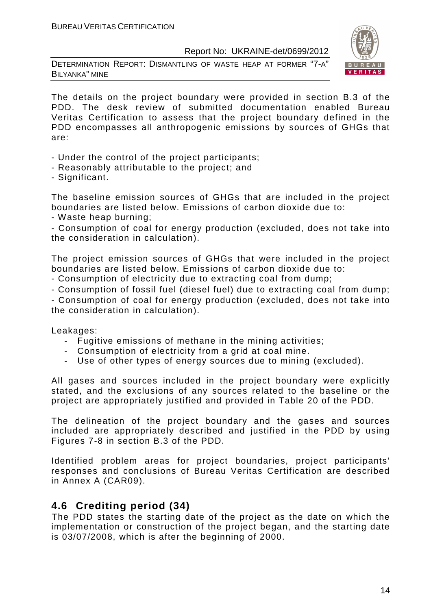DETERMINATION REPORT: DISMANTLING OF WASTE HEAP AT FORMER "7-A" BILYANKA" MINE



The details on the project boundary were provided in section B.3 of the PDD. The desk review of submitted documentation enabled Bureau Veritas Certification to assess that the project boundary defined in the PDD encompasses all anthropogenic emissions by sources of GHGs that are:

- Under the control of the project participants;
- Reasonably attributable to the project; and
- Significant.

The baseline emission sources of GHGs that are included in the project boundaries are listed below. Emissions of carbon dioxide due to:

- Waste heap burning;

- Consumption of coal for energy production (excluded, does not take into the consideration in calculation).

The project emission sources of GHGs that were included in the project boundaries are listed below. Emissions of carbon dioxide due to:

- Consumption of electricity due to extracting coal from dump;

- Consumption of fossil fuel (diesel fuel) due to extracting coal from dump;

- Consumption of coal for energy production (excluded, does not take into the consideration in calculation).

Leakages:

- Fugitive emissions of methane in the mining activities;
- Consumption of electricity from a grid at coal mine.
- Use of other types of energy sources due to mining (excluded).

All gases and sources included in the project boundary were explicitly stated, and the exclusions of any sources related to the baseline or the project are appropriately justified and provided in Table 20 of the PDD.

The delineation of the project boundary and the gases and sources included are appropriately described and justified in the PDD by using Figures 7-8 in section B.3 of the PDD.

Identified problem areas for project boundaries, project participants' responses and conclusions of Bureau Veritas Certification are described in Annex A (CAR09).

#### **4.6 Crediting period (34)**

The PDD states the starting date of the project as the date on which the implementation or construction of the project began, and the starting date is 03/07/2008, which is after the beginning of 2000.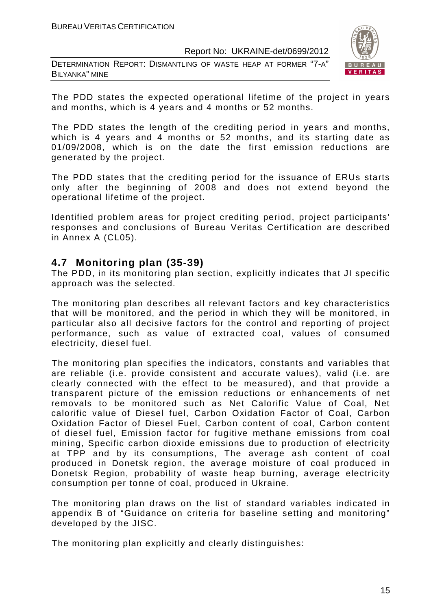DETERMINATION REPORT: DISMANTLING OF WASTE HEAP AT FORMER "7-A" BILYANKA" MINE



The PDD states the expected operational lifetime of the project in years and months, which is 4 years and 4 months or 52 months.

The PDD states the length of the crediting period in years and months, which is 4 years and 4 months or 52 months, and its starting date as 01/09/2008, which is on the date the first emission reductions are generated by the project.

The PDD states that the crediting period for the issuance of ERUs starts only after the beginning of 2008 and does not extend beyond the operational lifetime of the project.

Identified problem areas for project crediting period, project participants' responses and conclusions of Bureau Veritas Certification are described in Annex A (CL05).

#### **4.7 Monitoring plan (35-39)**

The PDD, in its monitoring plan section, explicitly indicates that JI specific approach was the selected.

The monitoring plan describes all relevant factors and key characteristics that will be monitored, and the period in which they will be monitored, in particular also all decisive factors for the control and reporting of project performance, such as value of extracted coal, values of consumed electricity, diesel fuel.

The monitoring plan specifies the indicators, constants and variables that are reliable (i.e. provide consistent and accurate values), valid (i.e. are clearly connected with the effect to be measured), and that provide a transparent picture of the emission reductions or enhancements of net removals to be monitored such as Net Calorific Value of Coal, Net calorific value of Diesel fuel, Carbon Oxidation Factor of Coal, Carbon Oxidation Factor of Diesel Fuel, Carbon content of coal, Carbon content of diesel fuel, Emission factor for fugitive methane emissions from coal mining, Specific carbon dioxide emissions due to production of electricity at TPP and by its consumptions, The average ash content of coal produced in Donetsk region, the average moisture of coal produced in Donetsk Region, probability of waste heap burning, average electricity consumption per tonne of coal, produced in Ukraine.

The monitoring plan draws on the list of standard variables indicated in appendix B of "Guidance on criteria for baseline setting and monitoring" developed by the JISC.

The monitoring plan explicitly and clearly distinguishes: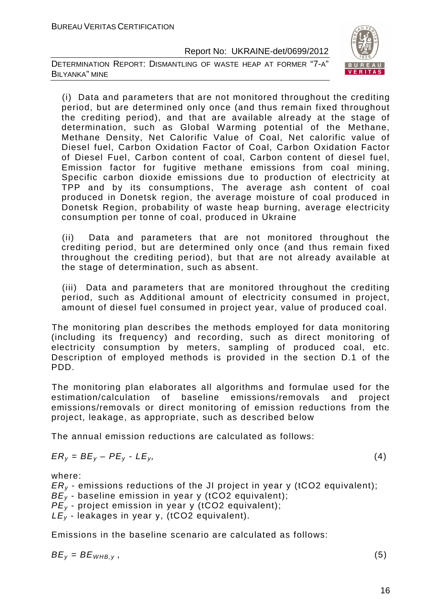DETERMINATION REPORT: DISMANTLING OF WASTE HEAP AT FORMER "7-A" BILYANKA" MINE



(i) Data and parameters that are not monitored throughout the crediting period, but are determined only once (and thus remain fixed throughout the crediting period), and that are available already at the stage of determination, such as Global Warming potential of the Methane, Methane Density, Net Calorific Value of Coal, Net calorific value of Diesel fuel, Carbon Oxidation Factor of Coal, Carbon Oxidation Factor of Diesel Fuel, Carbon content of coal, Carbon content of diesel fuel, Emission factor for fugitive methane emissions from coal mining, Specific carbon dioxide emissions due to production of electricity at TPP and by its consumptions, The average ash content of coal produced in Donetsk region, the average moisture of coal produced in Donetsk Region, probability of waste heap burning, average electricity consumption per tonne of coal, produced in Ukraine

(ii) Data and parameters that are not monitored throughout the crediting period, but are determined only once (and thus remain fixed throughout the crediting period), but that are not already available at the stage of determination, such as absent.

(iii) Data and parameters that are monitored throughout the crediting period, such as Additional amount of electricity consumed in project, amount of diesel fuel consumed in project year, value of produced coal.

The monitoring plan describes the methods employed for data monitoring (including its frequency) and recording, such as direct monitoring of electricity consumption by meters, sampling of produced coal, etc. Description of employed methods is provided in the section D.1 of the PDD.

The monitoring plan elaborates all algorithms and formulae used for the estimation/calculation of baseline emissions/removals and project emissions/removals or direct monitoring of emission reductions from the project, leakage, as appropriate, such as described below

The annual emission reductions are calculated as follows:

$$
ER_y = BE_y - PE_y - LE_y, \tag{4}
$$

where:

 $ER<sub>v</sub>$  - emissions reductions of the JI project in year y (tCO2 equivalent);

 $BE_v$  - baseline emission in year y (tCO2 equivalent):

 $PE<sub>y</sub>$  - project emission in year y (tCO2 equivalent):

 $LE_v$  - leakages in year y, (tCO2 equivalent).

Emissions in the baseline scenario are calculated as follows:

$$
BE_y = BE_{WHB,y}, \t\t(5)
$$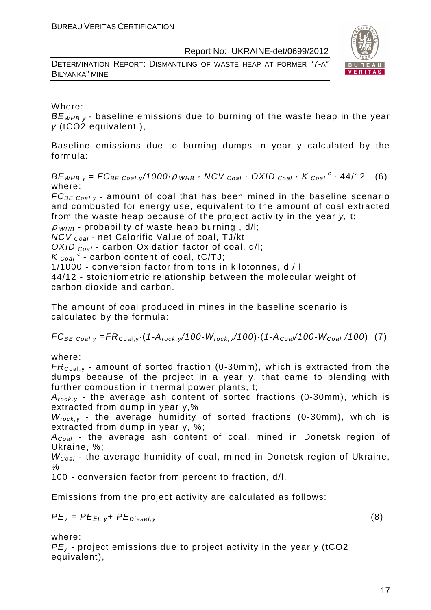DETERMINATION REPORT: DISMANTLING OF WASTE HEAP AT FORMER "7-A" BILYANKA" MINE



Where:

 $BE<sub>WHB,v</sub>$  - baseline emissions due to burning of the waste heap in the year y (tCO2 equivalent ),

Baseline emissions due to burning dumps in year y calculated by the formula:

 $BE_{WHB,y} = FC_{BE,Coal,y}$ /1000 $\rho_{WHB}$  · NCV <sub>Coal</sub> · OXID <sub>Coal</sub> · K <sub>Coal</sub> <sup>c</sup> · 44/12 (6) where:

 $FC_{BE,Coal,v}$  - amount of coal that has been mined in the baseline scenario and combusted for energy use, equivalent to the amount of coal extracted from the waste heap because of the project activity in the year y, t;

 $\rho$  w<sub>HB</sub> - probability of waste heap burning, d/l;

NCV <sub>Coal</sub> - net Calorific Value of coal, TJ/kt;

OXID  $_{Coal}$  - carbon Oxidation factor of coal, d/l;

 $K_{\text{Coal}}^c$  - carbon content of coal, tC/TJ;

1/1000 - conversion factor from tons in kilotonnes, d / l

44/12 - stoichiometric relationship between the molecular weight of carbon dioxide and carbon.

The amount of coal produced in mines in the baseline scenario is calculated by the formula:

 $FC_{BE,Coal,v} = FR_{Coal,v} (1-A_{rock,v}/100-W_{rock,v}/100) (1-A_{Coal}/100-W_{Coal}/100)$  (7)

where:

 $FR_{\text{Coal,v}}$  - amount of sorted fraction (0-30mm), which is extracted from the dumps because of the project in a year y, that came to blending with further combustion in thermal power plants, t;

 $A_{rock, v}$  - the average ash content of sorted fractions (0-30mm), which is extracted from dump in year y,%

 $W_{rock,y}$  - the average humidity of sorted fractions (0-30mm), which is extracted from dump in year y, %;

 $A_{Coal}$  - the average ash content of coal, mined in Donetsk region of Ukraine, %;

 $W_{Coal}$  - the average humidity of coal, mined in Donetsk region of Ukraine, %;

100 - conversion factor from percent to fraction, d/l.

Emissions from the project activity are calculated as follows:

$$
PE_y = PE_{EL,y} + PE_{Diesel,y}
$$
 (8)

where:

 $PE<sub>v</sub>$  - project emissions due to project activity in the year  $v$  (tCO2) equivalent),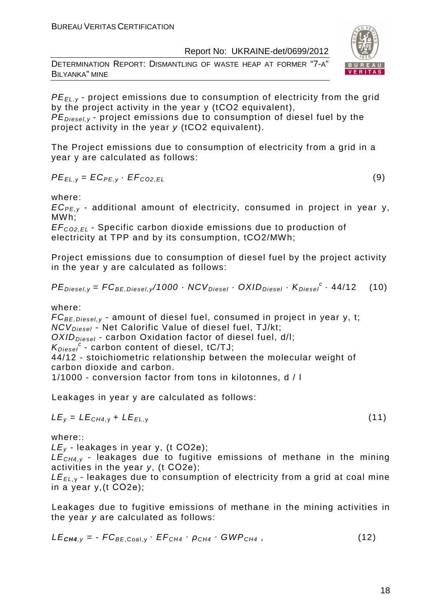DETERMINATION REPORT: DISMANTLING OF WASTE HEAP AT FORMER "7-A" BILYANKA" MINE



 $PE_{\text{Diegel, V}}$  - project emissions due to consumption of diesel fuel by the project activity in the year y (tCO2 equivalent).

The Project emissions due to consumption of electricity from a grid in a year y are calculated as follows:

$$
PE_{EL,y} = EC_{PE,y} \cdot EF_{CO2,EL}
$$
 (9)

where:

 $EC_{PE,v}$  - additional amount of electricity, consumed in project in year y, MWh;

EF<sup>C</sup>*О*2,EL - Specific carbon dioxide emissions due to production of electricity at TPP and by its consumption, tCO2/MWh;

Project emissions due to consumption of diesel fuel by the project activity in the year y are calculated as follows:

$$
PEDiesel,y = FCBE,Diesel,y/1000 \cdot NCVDiesel \cdot OXIDDiesel \cdot KDiesel \cdot 44/12
$$
 (10)

where:

 $FC_{BE, Diesel, y}$  - amount of diesel fuel, consumed in project in year y, t;  $NCV_{Diesel}$  - Net Calorific Value of diesel fuel, TJ/kt;

 $OXID<sub>Diesel</sub>$  - carbon Oxidation factor of diesel fuel, d/l;

 $K_{Diesel}^c$  - carbon content of diesel, tC/TJ;

44/12 - stoichiometric relationship between the molecular weight of carbon dioxide and carbon.

1/1000 - conversion factor from tons in kilotonnes, d / l

Leakages in year y are calculated as follows:

$$
LE_y = LE_{CH4,y} + LE_{EL,y}
$$
 (11)

where::

 $LE<sub>v</sub>$  - leakages in year y, (t CO2e);

 $LE<sub>CH4,V</sub>$  - leakages due to fugitive emissions of methane in the mining activities in the year y, (t СО2е);

 $LE_{EL, y}$  - leakages due to consumption of electricity from a grid at coal mine in a year y,(t СО2е);

Leakages due to fugitive emissions of methane in the mining activities in the year y are calculated as follows:

$$
LE_{\text{CH4},y} = -FC_{BE,Coal,y} \cdot EF_{CH4} \cdot \rho_{CH4} \cdot GWP_{CH4}, \qquad (12)
$$



$$
(11)
$$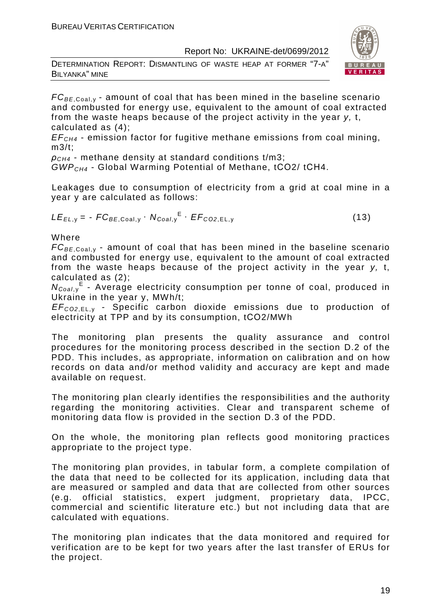DETERMINATION REPORT: DISMANTLING OF WASTE HEAP AT FORMER "7-A" BILYANKA" MINE



 $FC_{BE, coal,v}$  - amount of coal that has been mined in the baseline scenario and combusted for energy use, equivalent to the amount of coal extracted from the waste heaps because of the project activity in the year y, t, calculated as (4);

 $EF<sub>CH4</sub>$  - emission factor for fugitive methane emissions from coal mining,  $m3/t$ :

 $\rho_{CH4}$  - methane density at standard conditions t/m3;

GWPCH4 - Global Warming Potential of Methane, tСО2/ tСН4.

Leakages due to consumption of electricity from a grid at coal mine in a year y are calculated as follows:

$$
LE_{EL,y} = -FC_{BE,Coal,y} \cdot N_{Coal,y}^{E} \cdot EF_{CO2,EL,y}
$$
 (13)

Where

 $FC_{BE, coal,v}$  - amount of coal that has been mined in the baseline scenario and combusted for energy use, equivalent to the amount of coal extracted from the waste heaps because of the project activity in the year y, t, calculated as (2);

 $N_{Coal,y}$ <sup>E</sup> - Average electricity consumption per tonne of coal, produced in Ukraine in the year y, MWh/t;

EF<sup>C</sup>*О*2,EL, <sup>у</sup> - Specific carbon dioxide emissions due to production of electricity at TPP and by its consumption, tСО2/MWh

The monitoring plan presents the quality assurance and control procedures for the monitoring process described in the section D.2 of the PDD. This includes, as appropriate, information on calibration and on how records on data and/or method validity and accuracy are kept and made available on request.

The monitoring plan clearly identifies the responsibilities and the authority regarding the monitoring activities. Clear and transparent scheme of monitoring data flow is provided in the section D.3 of the PDD.

On the whole, the monitoring plan reflects good monitoring practices appropriate to the project type.

The monitoring plan provides, in tabular form, a complete compilation of the data that need to be collected for its application, including data that are measured or sampled and data that are collected from other sources (e.g. official statistics, expert judgment, proprietary data, IPCC, commercial and scientific literature etc.) but not including data that are calculated with equations.

The monitoring plan indicates that the data monitored and required for verification are to be kept for two years after the last transfer of ERUs for the project.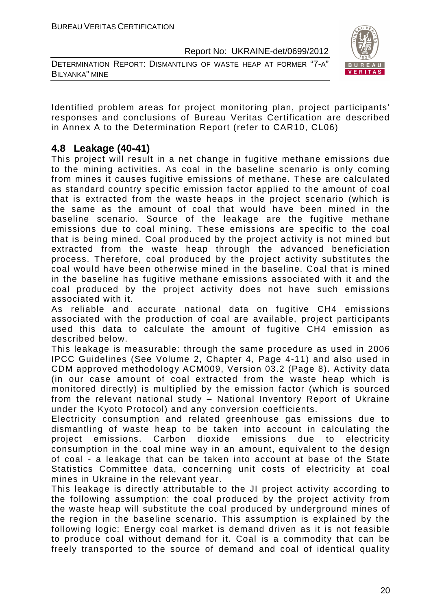DETERMINATION REPORT: DISMANTLING OF WASTE HEAP AT FORMER "7-A" BILYANKA" MINE



Identified problem areas for project monitoring plan, project participants' responses and conclusions of Bureau Veritas Certification are described in Annex A to the Determination Report (refer to CAR10, CL06)

#### **4.8 Leakage (40-41)**

This project will result in a net change in fugitive methane emissions due to the mining activities. As coal in the baseline scenario is only coming from mines it causes fugitive emissions of methane. These are calculated as standard country specific emission factor applied to the amount of coal that is extracted from the waste heaps in the project scenario (which is the same as the amount of coal that would have been mined in the baseline scenario. Source of the leakage are the fugitive methane emissions due to coal mining. These emissions are specific to the coal that is being mined. Coal produced by the project activity is not mined but extracted from the waste heap through the advanced beneficiation process. Therefore, coal produced by the project activity substitutes the coal would have been otherwise mined in the baseline. Coal that is mined in the baseline has fugitive methane emissions associated with it and the coal produced by the project activity does not have such emissions associated with it.

As reliable and accurate national data on fugitive CH4 emissions associated with the production of coal are available, project participants used this data to calculate the amount of fugitive CH4 emission as described below.

This leakage is measurable: through the same procedure as used in 2006 IPCC Guidelines (See Volume 2, Chapter 4, Page 4-11) and also used in CDM approved methodology ACM009, Version 03.2 (Page 8). Activity data (in our case amount of coal extracted from the waste heap which is monitored directly) is multiplied by the emission factor (which is sourced from the relevant national study – National Inventory Report of Ukraine under the Kyoto Protocol) and any conversion coefficients.

Electricity consumption and related greenhouse gas emissions due to dismantling of waste heap to be taken into account in calculating the project emissions. Carbon dioxide emissions due to electricity consumption in the coal mine way in an amount, equivalent to the design of coal - a leakage that can be taken into account at base of the State Statistics Committee data, concerning unit costs of electricity at coal mines in Ukraine in the relevant year.

This leakage is directly attributable to the JI project activity according to the following assumption: the coal produced by the project activity from the waste heap will substitute the coal produced by underground mines of the region in the baseline scenario. This assumption is explained by the following logic: Energy coal market is demand driven as it is not feasible to produce coal without demand for it. Coal is a commodity that can be freely transported to the source of demand and coal of identical quality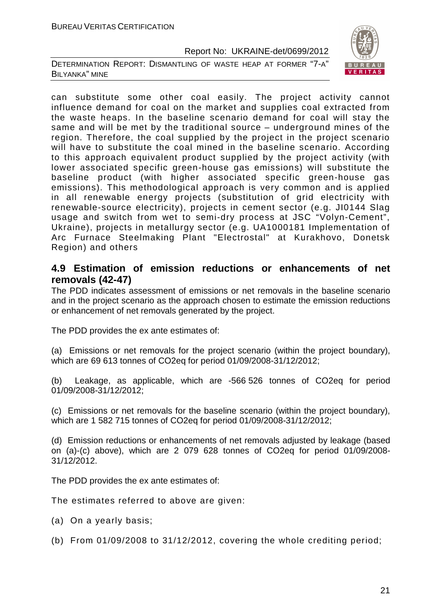DETERMINATION REPORT: DISMANTLING OF WASTE HEAP AT FORMER "7-A" BILYANKA" MINE



can substitute some other coal easily. The project activity cannot influence demand for coal on the market and supplies coal extracted from the waste heaps. In the baseline scenario demand for coal will stay the same and will be met by the traditional source – underground mines of the region. Therefore, the coal supplied by the project in the project scenario will have to substitute the coal mined in the baseline scenario. According to this approach equivalent product supplied by the project activity (with lower associated specific green-house gas emissions) will substitute the baseline product (with higher associated specific green-house gas emissions). This methodological approach is very common and is applied in all renewable energy projects (substitution of grid electricity with renewable-source electricity), projects in cement sector (e.g. JI0144 Slag usage and switch from wet to semi-dry process at JSC "Volyn-Cement", Ukraine), projects in metallurgy sector (e.g. UA1000181 Implementation of Arc Furnace Steelmaking Plant "Electrostal" at Kurakhovo, Donetsk Region) and others

#### **4.9 Estimation of emission reductions or enhancements of net removals (42-47)**

The PDD indicates assessment of emissions or net removals in the baseline scenario and in the project scenario as the approach chosen to estimate the emission reductions or enhancement of net removals generated by the project.

The PDD provides the ex ante estimates of:

(a) Emissions or net removals for the project scenario (within the project boundary), which are 69 613 tonnes of CO2eq for period 01/09/2008-31/12/2012;

(b) Leakage, as applicable, which are -566 526 tonnes of CO2eq for period 01/09/2008-31/12/2012;

(c) Emissions or net removals for the baseline scenario (within the project boundary), which are 1 582 715 tonnes of CO2eq for period 01/09/2008-31/12/2012;

(d) Emission reductions or enhancements of net removals adjusted by leakage (based on (a)-(c) above), which are 2 079 628 tonnes of CO2eq for period 01/09/2008- 31/12/2012.

The PDD provides the ex ante estimates of:

The estimates referred to above are given:

- (a) On a yearly basis;
- (b) From 01/09/2008 to 31/12/2012, covering the whole crediting period;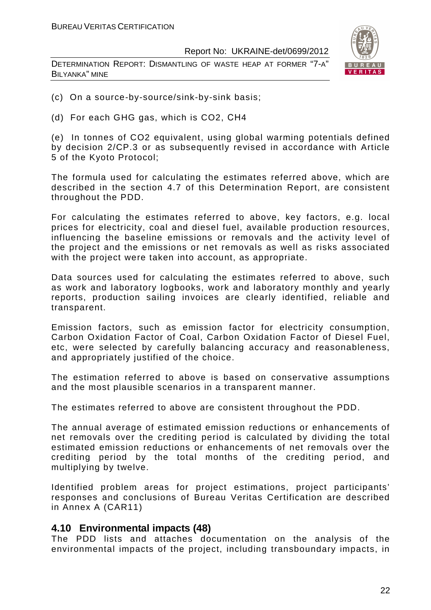DETERMINATION REPORT: DISMANTLING OF WASTE HEAP AT FORMER "7-A" BILYANKA" MINE



- (c) On a source-by-source/sink-by-sink basis;
- (d) For each GHG gas, which is CO2, СН4

(e) In tonnes of CO2 equivalent, using global warming potentials defined by decision 2/CP.3 or as subsequently revised in accordance with Article 5 of the Kyoto Protocol;

The formula used for calculating the estimates referred above, which are described in the section 4.7 of this Determination Report, are consistent throughout the PDD.

For calculating the estimates referred to above, key factors, e.g. local prices for electricity, coal and diesel fuel, available production resources, influencing the baseline emissions or removals and the activity level of the project and the emissions or net removals as well as risks associated with the project were taken into account, as appropriate.

Data sources used for calculating the estimates referred to above, such as work and laboratory logbooks, work and laboratory monthly and yearly reports, production sailing invoices are clearly identified, reliable and transparent.

Emission factors, such as emission factor for electricity consumption, Carbon Oxidation Factor of Coal, Carbon Oxidation Factor of Diesel Fuel, etc, were selected by carefully balancing accuracy and reasonableness, and appropriately justified of the choice.

The estimation referred to above is based on conservative assumptions and the most plausible scenarios in a transparent manner.

The estimates referred to above are consistent throughout the PDD.

The annual average of estimated emission reductions or enhancements of net removals over the crediting period is calculated by dividing the total estimated emission reductions or enhancements of net removals over the crediting period by the total months of the crediting period, and multiplying by twelve.

Identified problem areas for project estimations, project participants' responses and conclusions of Bureau Veritas Certification are described in Annex A (CAR11)

#### **4.10 Environmental impacts (48)**

The PDD lists and attaches documentation on the analysis of the environmental impacts of the project, including transboundary impacts, in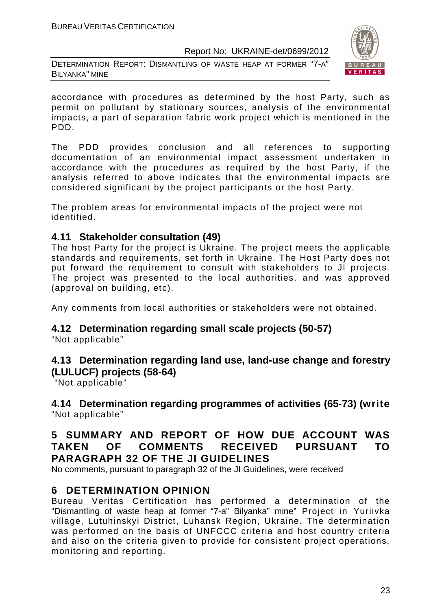DETERMINATION REPORT: DISMANTLING OF WASTE HEAP AT FORMER "7-A" BILYANKA" MINE



accordance with procedures as determined by the host Party, such as permit on pollutant by stationary sources, analysis of the environmental impacts, a part of separation fabric work project which is mentioned in the PDD.

The PDD provides conclusion and all references to supporting documentation of an environmental impact assessment undertaken in accordance with the procedures as required by the host Party, if the analysis referred to above indicates that the environmental impacts are considered significant by the project participants or the host Party.

The problem areas for environmental impacts of the project were not identified.

#### **4.11 Stakeholder consultation (49)**

The host Party for the project is Ukraine. The project meets the applicable standards and requirements, set forth in Ukraine. The Host Party does not put forward the requirement to consult with stakeholders to JI projects. The project was presented to the local authorities, and was approved (approval on building, etc).

Any comments from local authorities or stakeholders were not obtained.

### **4.12 Determination regarding small scale projects (50-57)**

"Not applicable"

#### **4.13 Determination regarding land use, land-use change and forestry (LULUCF) projects (58-64)**

"Not applicable"

**4.14 Determination regarding programmes of activities (65-73) (write**  "Not applicable"

#### **5 SUMMARY AND REPORT OF HOW DUE ACCOUNT WAS TAKEN OF COMMENTS RECEIVED PURSUANT TO PARAGRAPH 32 OF THE JI GUIDELINES**

No comments, pursuant to paragraph 32 of the JI Guidelines, were received

#### **6 DETERMINATION OPINION**

Bureau Veritas Certification has performed a determination of the "Dismantling of waste heap at former "7-a" Bilyanka" mine" Project in Yuriivka village, Lutuhinskyi District, Luhansk Region, Ukraine. The determination was performed on the basis of UNFCCC criteria and host country criteria and also on the criteria given to provide for consistent project operations, monitoring and reporting.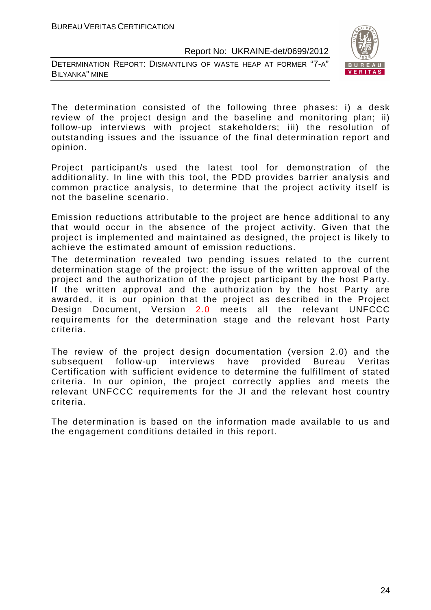DETERMINATION REPORT: DISMANTLING OF WASTE HEAP AT FORMER "7-A" BILYANKA" MINE



The determination consisted of the following three phases: i) a desk review of the project design and the baseline and monitoring plan; ii) follow-up interviews with project stakeholders; iii) the resolution of outstanding issues and the issuance of the final determination report and opinion.

Project participant/s used the latest tool for demonstration of the additionality. In line with this tool, the PDD provides barrier analysis and common practice analysis, to determine that the project activity itself is not the baseline scenario.

Emission reductions attributable to the project are hence additional to any that would occur in the absence of the project activity. Given that the project is implemented and maintained as designed, the project is likely to achieve the estimated amount of emission reductions.

The determination revealed two pending issues related to the current determination stage of the project: the issue of the written approval of the project and the authorization of the project participant by the host Party. If the written approval and the authorization by the host Party are awarded, it is our opinion that the project as described in the Project Design Document, Version 2.0 meets all the relevant UNFCCC requirements for the determination stage and the relevant host Party criteria.

The review of the project design documentation (version 2.0) and the subsequent follow-up interviews have provided Bureau Veritas Certification with sufficient evidence to determine the fulfillment of stated criteria. In our opinion, the project correctly applies and meets the relevant UNFCCC requirements for the JI and the relevant host country criteria.

The determination is based on the information made available to us and the engagement conditions detailed in this report.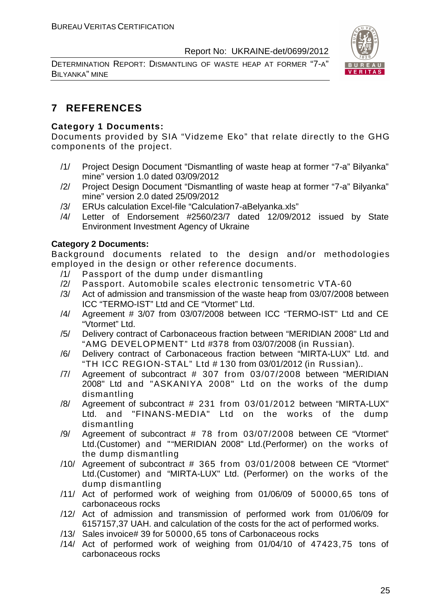DETERMINATION REPORT: DISMANTLING OF WASTE HEAP AT FORMER "7-A" BILYANKA" MINE



### **7 REFERENCES**

#### **Category 1 Documents:**

Documents provided by SIA "Vidzeme Eko" that relate directly to the GHG components of the project.

- /1/ Project Design Document "Dismantling of waste heap at former "7-a" Bilyanka" mine" version 1.0 dated 03/09/2012
- /2/ Project Design Document "Dismantling of waste heap at former "7-a" Bilyanka" mine" version 2.0 dated 25/09/2012
- /3/ ERUs calculation Excel-file "Calculation7-aBelyanka.xls"
- /4/ Letter of Endorsement #2560/23/7 dated 12/09/2012 issued by State Environment Investment Agency of Ukraine

#### **Category 2 Documents:**

Background documents related to the design and/or methodologies employed in the design or other reference documents.

- /1/ Passport of the dump under dismantling
- /2/ Passport. Automobile scales electronic tensometric VТА-60
- /3/ Act of admission and transmission of the waste heap from 03/07/2008 between ICC "TERMO-IST" Ltd and CE "Vtormet" Ltd.
- /4/ Agreement # 3/07 from 03/07/2008 between ICC "TERMO-IST" Ltd and CE "Vtormet" Ltd.
- /5/ Delivery contract of Carbonaceous fraction between "MERIDIAN 2008" Ltd and "AMG DEVELOPMENT" Ltd #378 from 03/07/2008 (in Russian).
- /6/ Delivery contract of Carbonaceous fraction between "MIRTA-LUX" Ltd. and "TH ICC REGION-STAL" Ltd # 130 from 03/01/2012 (in Russian)..
- /7/ Agreement of subcontract # 307 from 03/07/2008 between "MERIDIAN 2008" Ltd and "ASKANIYA 2008" Ltd on the works of the dump dismantling
- /8/ Agreement of subcontract # 231 from 03/01/2012 between "MIRTA-LUX" Ltd. and "FINANS-MEDIA" Ltd on the works of the dump dismantling
- /9/ Agreement of subcontract # 78 from 03/07/2008 between CE "Vtormet" Ltd.(Customer) and ""MERIDIAN 2008" Ltd.(Performer) on the works of the dump dismantling
- /10/ Agreement of subcontract # 365 from 03/01/2008 between CE "Vtormet" Ltd.(Customer) and "MIRTA-LUX" Ltd. (Performer) on the works of the dump dismantling
- /11/ Act of performed work of weighing from 01/06/09 of 50000,65 tons of carbonaceous rocks
- /12/ Act of admission and transmission of performed work from 01/06/09 for 6157157,37 UAH. and calculation of the costs for the act of performed works.
- /13/ Sales invoice# 39 for 50000,65 tons of Carbonaceous rocks
- /14/ Act of performed work of weighing from 01/04/10 of 47423,75 tons of carbonaceous rocks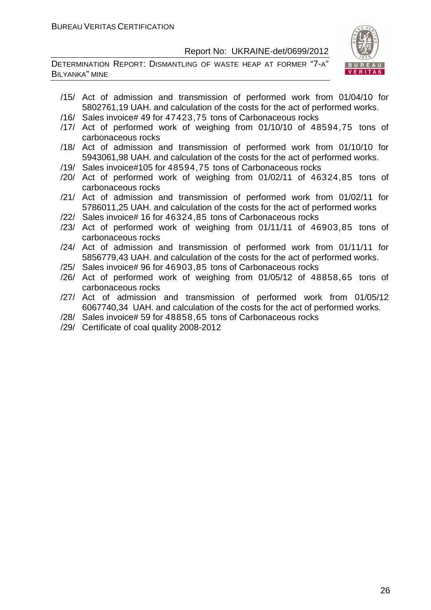DETERMINATION REPORT: DISMANTLING OF WASTE HEAP AT FORMER "7-A" BILYANKA" MINE



- /15/ Act of admission and transmission of performed work from 01/04/10 for 5802761,19 UAH. and calculation of the costs for the act of performed works.
- /16/ Sales invoice# 49 for 47423,75 tons of Carbonaceous rocks
- /17/ Act of performed work of weighing from 01/10/10 of 48594,75 tons of carbonaceous rocks
- /18/ Act of admission and transmission of performed work from 01/10/10 for 5943061,98 UAH. and calculation of the costs for the act of performed works.
- /19/ Sales invoice#105 for 48594,75 tons of Carbonaceous rocks
- /20/ Act of performed work of weighing from 01/02/11 of 46324,85 tons of carbonaceous rocks
- /21/ Act of admission and transmission of performed work from 01/02/11 for 5786011,25 UAH. and calculation of the costs for the act of performed works
- /22/ Sales invoice# 16 for 46324,85 tons of Carbonaceous rocks
- /23/ Act of performed work of weighing from 01/11/11 of 46903,85 tons of carbonaceous rocks
- /24/ Act of admission and transmission of performed work from 01/11/11 for 5856779,43 UAH. and calculation of the costs for the act of performed works.
- /25/ Sales invoice# 96 for 46903,85 tons of Carbonaceous rocks
- /26/ Act of performed work of weighing from 01/05/12 of 48858,65 tons of carbonaceous rocks
- /27/ Act of admission and transmission of performed work from 01/05/12 6067740,34 UAH. and calculation of the costs for the act of performed works.
- /28/ Sales invoice# 59 for 48858,65 tons of Carbonaceous rocks
- /29/ Certificate of coal quality 2008-2012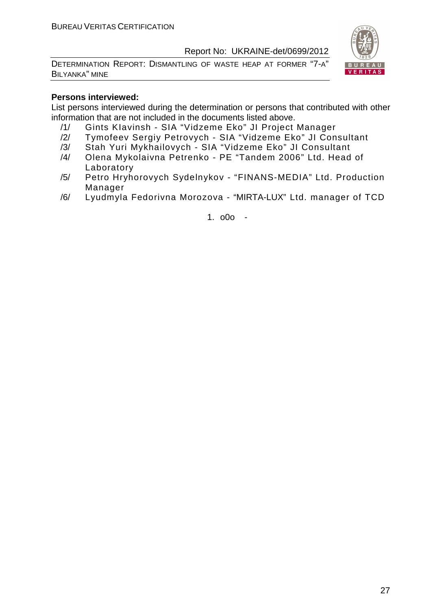DETERMINATION REPORT: DISMANTLING OF WASTE HEAP AT FORMER "7-A" BILYANKA" MINE



#### **Persons interviewed:**

List persons interviewed during the determination or persons that contributed with other information that are not included in the documents listed above.

- /1/ Gints KIavinsh SIA "Vidzeme Eko" JI Project Manager
- /2/ Tymofeev Sergiy Petrovych SIA "Vidzeme Eko" JI Consultant
- /3/ Stah Yuri Mykhailovych SIA "Vidzeme Eko" JI Consultant
- /4/ Olena Mykolaivna Petrenko PE "Tandem 2006" Ltd. Head of Laboratory
- /5/ Petro Hryhorovych Sydelnykov "FINANS-MEDIA" Ltd. Production Manager
- /6/ Lyudmyla Fedorivna Morozova "MIRTA-LUX" Ltd. manager of TCD

1. o0o -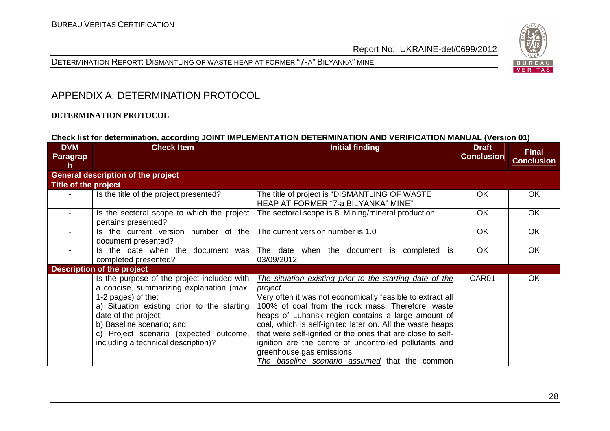



#### APPENDIX A: DETERMINATION PROTOCOL

#### **DETERMINATION PROTOCOL**

|                                     |                                                                                                                                                                                                                                                                                                    | Check list for determination, according JOINT IMPLEMENTATION DETERMINATION AND VERIFICATION MANUAL (Version 01)                                                                                                                                                                                                                                                                                                                                                                                                |                                   |                                   |
|-------------------------------------|----------------------------------------------------------------------------------------------------------------------------------------------------------------------------------------------------------------------------------------------------------------------------------------------------|----------------------------------------------------------------------------------------------------------------------------------------------------------------------------------------------------------------------------------------------------------------------------------------------------------------------------------------------------------------------------------------------------------------------------------------------------------------------------------------------------------------|-----------------------------------|-----------------------------------|
| <b>DVM</b><br><b>Paragrap</b><br>h. | <b>Check Item</b>                                                                                                                                                                                                                                                                                  | Initial finding                                                                                                                                                                                                                                                                                                                                                                                                                                                                                                | <b>Draft</b><br><b>Conclusion</b> | <b>Final</b><br><b>Conclusion</b> |
|                                     | <b>General description of the project</b>                                                                                                                                                                                                                                                          |                                                                                                                                                                                                                                                                                                                                                                                                                                                                                                                |                                   |                                   |
| Title of the project                |                                                                                                                                                                                                                                                                                                    |                                                                                                                                                                                                                                                                                                                                                                                                                                                                                                                |                                   |                                   |
|                                     | Is the title of the project presented?                                                                                                                                                                                                                                                             | The title of project is "DISMANTLING OF WASTE"<br>HEAP AT FORMER "7-a BILYANKA" MINE"                                                                                                                                                                                                                                                                                                                                                                                                                          | OK.                               | OK.                               |
|                                     | Is the sectoral scope to which the project<br>pertains presented?                                                                                                                                                                                                                                  | The sectoral scope is 8. Mining/mineral production                                                                                                                                                                                                                                                                                                                                                                                                                                                             | <b>OK</b>                         | <b>OK</b>                         |
|                                     | Is the current version number of the<br>document presented?                                                                                                                                                                                                                                        | The current version number is 1.0                                                                                                                                                                                                                                                                                                                                                                                                                                                                              | OK                                | OK                                |
|                                     | Is the date when the document was<br>completed presented?                                                                                                                                                                                                                                          | The date<br>when the document is<br>completed<br>is<br>03/09/2012                                                                                                                                                                                                                                                                                                                                                                                                                                              | <b>OK</b>                         | OK                                |
|                                     | <b>Description of the project</b>                                                                                                                                                                                                                                                                  |                                                                                                                                                                                                                                                                                                                                                                                                                                                                                                                |                                   |                                   |
|                                     | Is the purpose of the project included with<br>a concise, summarizing explanation (max.<br>1-2 pages) of the:<br>a) Situation existing prior to the starting<br>date of the project;<br>b) Baseline scenario; and<br>c) Project scenario (expected outcome,<br>including a technical description)? | The situation existing prior to the starting date of the<br>project<br>Very often it was not economically feasible to extract all<br>100% of coal from the rock mass. Therefore, waste<br>heaps of Luhansk region contains a large amount of<br>coal, which is self-ignited later on. All the waste heaps<br>that were self-ignited or the ones that are close to self-<br>ignition are the centre of uncontrolled pollutants and<br>greenhouse gas emissions<br>The baseline scenario assumed that the common | CAR01                             | OK                                |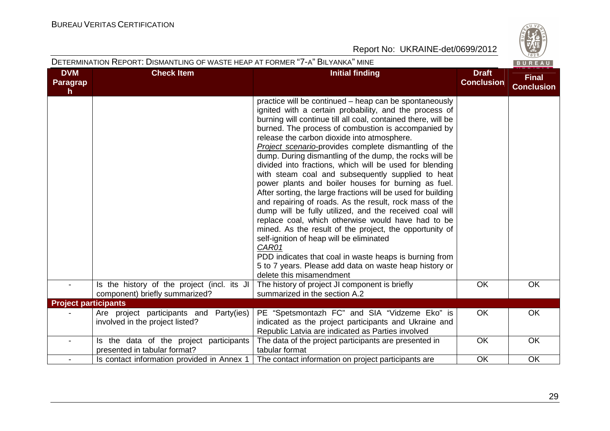|                              | DETERMINATION REPORT: DISMANTLING OF WASTE HEAP AT FORMER "7-A" BILYANKA" MINE |                                                                                                                                                                                                                                                                                                                                                                                                                                                                                                                                                                                                                                                                                                                                                                                                                                                                                                                                                                                                                                                                                                |                                   | BUREAU                            |
|------------------------------|--------------------------------------------------------------------------------|------------------------------------------------------------------------------------------------------------------------------------------------------------------------------------------------------------------------------------------------------------------------------------------------------------------------------------------------------------------------------------------------------------------------------------------------------------------------------------------------------------------------------------------------------------------------------------------------------------------------------------------------------------------------------------------------------------------------------------------------------------------------------------------------------------------------------------------------------------------------------------------------------------------------------------------------------------------------------------------------------------------------------------------------------------------------------------------------|-----------------------------------|-----------------------------------|
| <b>DVM</b><br>Paragrap<br>h. | <b>Check Item</b>                                                              | <b>Initial finding</b>                                                                                                                                                                                                                                                                                                                                                                                                                                                                                                                                                                                                                                                                                                                                                                                                                                                                                                                                                                                                                                                                         | <b>Draft</b><br><b>Conclusion</b> | <b>Final</b><br><b>Conclusion</b> |
|                              |                                                                                | practice will be continued – heap can be spontaneously<br>ignited with a certain probability, and the process of<br>burning will continue till all coal, contained there, will be<br>burned. The process of combustion is accompanied by<br>release the carbon dioxide into atmosphere.<br>Project scenario-provides complete dismantling of the<br>dump. During dismantling of the dump, the rocks will be<br>divided into fractions, which will be used for blending<br>with steam coal and subsequently supplied to heat<br>power plants and boiler houses for burning as fuel.<br>After sorting, the large fractions will be used for building<br>and repairing of roads. As the result, rock mass of the<br>dump will be fully utilized, and the received coal will<br>replace coal, which otherwise would have had to be<br>mined. As the result of the project, the opportunity of<br>self-ignition of heap will be eliminated<br>CAR01<br>PDD indicates that coal in waste heaps is burning from<br>5 to 7 years. Please add data on waste heap history or<br>delete this misamendment |                                   |                                   |
|                              | Is the history of the project (incl. its JI<br>component) briefly summarized?  | The history of project JI component is briefly<br>summarized in the section A.2                                                                                                                                                                                                                                                                                                                                                                                                                                                                                                                                                                                                                                                                                                                                                                                                                                                                                                                                                                                                                | <b>OK</b>                         | OK                                |
| <b>Project participants</b>  |                                                                                |                                                                                                                                                                                                                                                                                                                                                                                                                                                                                                                                                                                                                                                                                                                                                                                                                                                                                                                                                                                                                                                                                                |                                   |                                   |
|                              | Are project participants and Party(ies)<br>involved in the project listed?     | PE "Spetsmontazh FC" and SIA "Vidzeme Eko" is<br>indicated as the project participants and Ukraine and<br>Republic Latvia are indicated as Parties involved                                                                                                                                                                                                                                                                                                                                                                                                                                                                                                                                                                                                                                                                                                                                                                                                                                                                                                                                    | <b>OK</b>                         | OK                                |
|                              | Is the data of the project participants<br>presented in tabular format?        | The data of the project participants are presented in<br>tabular format                                                                                                                                                                                                                                                                                                                                                                                                                                                                                                                                                                                                                                                                                                                                                                                                                                                                                                                                                                                                                        | <b>OK</b>                         | <b>OK</b>                         |
| $\blacksquare$               | Is contact information provided in Annex 1                                     | The contact information on project participants are                                                                                                                                                                                                                                                                                                                                                                                                                                                                                                                                                                                                                                                                                                                                                                                                                                                                                                                                                                                                                                            | OK                                | <b>OK</b>                         |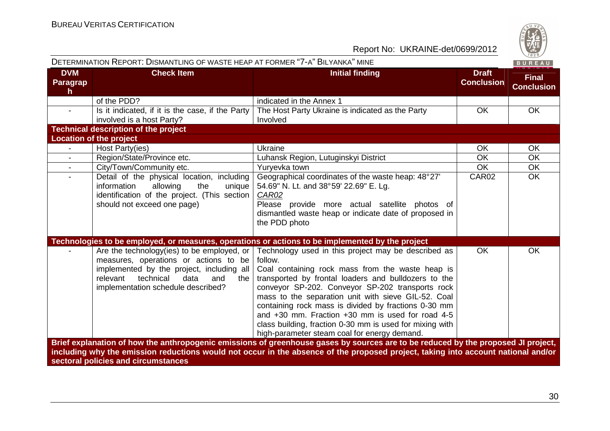| S       |
|---------|
|         |
| ۵<br>۰. |
| 828     |

|                                        | DETERMINATION REPORT: DISMANTLING OF WASTE HEAP AT FORMER "7-A" BILYANKA" MINE                                                                                                                                        |                                                                                                                                                                                                                                                                                                                                                                                                                                                                                                               |                                   | BUREAU                            |
|----------------------------------------|-----------------------------------------------------------------------------------------------------------------------------------------------------------------------------------------------------------------------|---------------------------------------------------------------------------------------------------------------------------------------------------------------------------------------------------------------------------------------------------------------------------------------------------------------------------------------------------------------------------------------------------------------------------------------------------------------------------------------------------------------|-----------------------------------|-----------------------------------|
| <b>DVM</b><br>Paragrap<br>$\mathsf{h}$ | <b>Check Item</b>                                                                                                                                                                                                     | <b>Initial finding</b>                                                                                                                                                                                                                                                                                                                                                                                                                                                                                        | <b>Draft</b><br><b>Conclusion</b> | <b>Final</b><br><b>Conclusion</b> |
|                                        | of the PDD?                                                                                                                                                                                                           | indicated in the Annex 1                                                                                                                                                                                                                                                                                                                                                                                                                                                                                      |                                   |                                   |
| $\blacksquare$                         | Is it indicated, if it is the case, if the Party<br>involved is a host Party?                                                                                                                                         | The Host Party Ukraine is indicated as the Party<br>Involved                                                                                                                                                                                                                                                                                                                                                                                                                                                  | OK                                | OK                                |
|                                        | <b>Technical description of the project</b>                                                                                                                                                                           |                                                                                                                                                                                                                                                                                                                                                                                                                                                                                                               |                                   |                                   |
|                                        | <b>Location of the project</b>                                                                                                                                                                                        |                                                                                                                                                                                                                                                                                                                                                                                                                                                                                                               |                                   |                                   |
|                                        | Host Party(ies)                                                                                                                                                                                                       | Ukraine                                                                                                                                                                                                                                                                                                                                                                                                                                                                                                       | <b>OK</b>                         | <b>OK</b>                         |
| $\blacksquare$                         | Region/State/Province etc.                                                                                                                                                                                            | Luhansk Region, Lutuginskyi District                                                                                                                                                                                                                                                                                                                                                                                                                                                                          | <b>OK</b>                         | <b>OK</b>                         |
| $\blacksquare$                         | City/Town/Community etc.                                                                                                                                                                                              | Yuryevka town                                                                                                                                                                                                                                                                                                                                                                                                                                                                                                 | <b>OK</b>                         | OK                                |
| $\sim$                                 | Detail of the physical location, including<br>information<br>allowing<br>the<br>unique<br>identification of the project. (This section<br>should not exceed one page)                                                 | Geographical coordinates of the waste heap: 48°27'<br>54.69" N. Lt. and 38°59' 22.69" E. Lg.<br>CAR02<br>Please provide more actual satellite photos of<br>dismantled waste heap or indicate date of proposed in<br>the PDD photo                                                                                                                                                                                                                                                                             | CAR02                             | <b>OK</b>                         |
|                                        |                                                                                                                                                                                                                       | Technologies to be employed, or measures, operations or actions to be implemented by the project                                                                                                                                                                                                                                                                                                                                                                                                              |                                   |                                   |
|                                        | Are the technology(ies) to be employed, or<br>measures, operations or actions to be<br>implemented by the project, including all<br>technical<br>relevant<br>data<br>the<br>and<br>implementation schedule described? | Technology used in this project may be described as<br>follow.<br>Coal containing rock mass from the waste heap is<br>transported by frontal loaders and bulldozers to the<br>conveyor SP-202. Conveyor SP-202 transports rock<br>mass to the separation unit with sieve GIL-52. Coal<br>containing rock mass is divided by fractions 0-30 mm<br>and +30 mm. Fraction +30 mm is used for road 4-5<br>class building, fraction 0-30 mm is used for mixing with<br>high-parameter steam coal for energy demand. | <b>OK</b>                         | <b>OK</b>                         |
|                                        | sectoral policies and circumstances                                                                                                                                                                                   | Brief explanation of how the anthropogenic emissions of greenhouse gases by sources are to be reduced by the proposed JI project,<br>including why the emission reductions would not occur in the absence of the proposed project, taking into account national and/or                                                                                                                                                                                                                                        |                                   |                                   |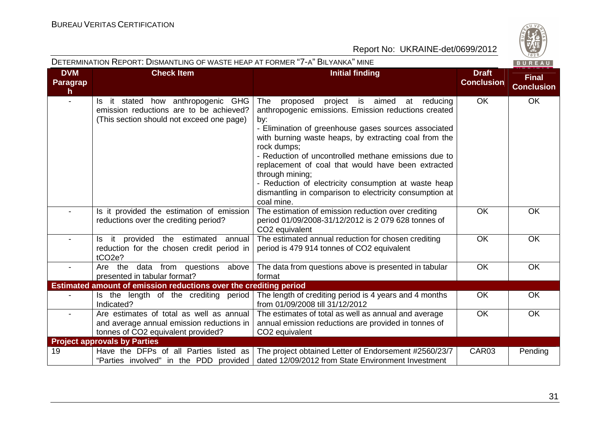

|                                        | DETERMINATION REPORT: DISMANTLING OF WASTE HEAP AT FORMER "7-A" BILYANKA" MINE                                              |                                                                                                                                                                                                                                                                                                                                                                                                                                                                                                                           |                                   | BUREAU                            |
|----------------------------------------|-----------------------------------------------------------------------------------------------------------------------------|---------------------------------------------------------------------------------------------------------------------------------------------------------------------------------------------------------------------------------------------------------------------------------------------------------------------------------------------------------------------------------------------------------------------------------------------------------------------------------------------------------------------------|-----------------------------------|-----------------------------------|
| <b>DVM</b><br>Paragrap<br>$\mathbf{h}$ | <b>Check Item</b>                                                                                                           | <b>Initial finding</b>                                                                                                                                                                                                                                                                                                                                                                                                                                                                                                    | <b>Draft</b><br><b>Conclusion</b> | <b>Final</b><br><b>Conclusion</b> |
|                                        | Is it stated how anthropogenic GHG<br>emission reductions are to be achieved?<br>(This section should not exceed one page)  | project<br>is aimed<br>The<br>proposed<br>at<br>reducing<br>anthropogenic emissions. Emission reductions created<br>by:<br>- Elimination of greenhouse gases sources associated<br>with burning waste heaps, by extracting coal from the<br>rock dumps;<br>- Reduction of uncontrolled methane emissions due to<br>replacement of coal that would have been extracted<br>through mining;<br>- Reduction of electricity consumption at waste heap<br>dismantling in comparison to electricity consumption at<br>coal mine. | <b>OK</b>                         | <b>OK</b>                         |
|                                        | Is it provided the estimation of emission<br>reductions over the crediting period?                                          | The estimation of emission reduction over crediting<br>period 01/09/2008-31/12/2012 is 2 079 628 tonnes of<br>CO2 equivalent                                                                                                                                                                                                                                                                                                                                                                                              | OK                                | OK                                |
|                                        | Is it provided the estimated<br>annual<br>reduction for the chosen credit period in<br>tCO <sub>2e</sub> ?                  | The estimated annual reduction for chosen crediting<br>period is 479 914 tonnes of CO2 equivalent                                                                                                                                                                                                                                                                                                                                                                                                                         | OK                                | OK                                |
|                                        | Are the data from questions above<br>presented in tabular format?                                                           | The data from questions above is presented in tabular<br>format                                                                                                                                                                                                                                                                                                                                                                                                                                                           | <b>OK</b>                         | <b>OK</b>                         |
|                                        | Estimated amount of emission reductions over the crediting period                                                           |                                                                                                                                                                                                                                                                                                                                                                                                                                                                                                                           |                                   |                                   |
|                                        | Is the length of the crediting period<br>Indicated?                                                                         | The length of crediting period is 4 years and 4 months<br>from 01/09/2008 till 31/12/2012                                                                                                                                                                                                                                                                                                                                                                                                                                 | OK                                | <b>OK</b>                         |
|                                        | Are estimates of total as well as annual<br>and average annual emission reductions in<br>tonnes of CO2 equivalent provided? | The estimates of total as well as annual and average<br>annual emission reductions are provided in tonnes of<br>CO <sub>2</sub> equivalent                                                                                                                                                                                                                                                                                                                                                                                | OK                                | OK                                |
|                                        | <b>Project approvals by Parties</b>                                                                                         |                                                                                                                                                                                                                                                                                                                                                                                                                                                                                                                           |                                   |                                   |
| 19                                     | Have the DFPs of all Parties listed as<br>"Parties involved" in the PDD provided                                            | The project obtained Letter of Endorsement #2560/23/7<br>dated 12/09/2012 from State Environment Investment                                                                                                                                                                                                                                                                                                                                                                                                               | CAR03                             | Pending                           |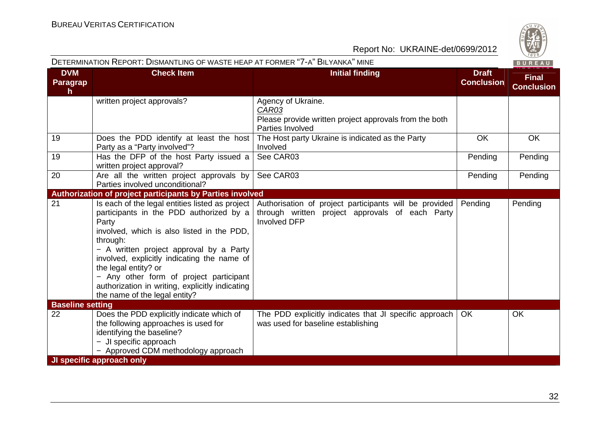|                             | DETERMINATION REPORT: DISMANTLING OF WASTE HEAP AT FORMER "7-A" BILYANKA" MINE                                                                                                                                                                                                                                                                                                                                 |                                                                                                                                  |                                   | BUREAU                            |
|-----------------------------|----------------------------------------------------------------------------------------------------------------------------------------------------------------------------------------------------------------------------------------------------------------------------------------------------------------------------------------------------------------------------------------------------------------|----------------------------------------------------------------------------------------------------------------------------------|-----------------------------------|-----------------------------------|
| <b>DVM</b><br>Paragrap<br>h | <b>Check Item</b>                                                                                                                                                                                                                                                                                                                                                                                              | <b>Initial finding</b>                                                                                                           | <b>Draft</b><br><b>Conclusion</b> | <b>Final</b><br><b>Conclusion</b> |
|                             | written project approvals?                                                                                                                                                                                                                                                                                                                                                                                     | Agency of Ukraine.<br>CAR03<br>Please provide written project approvals from the both<br>Parties Involved                        |                                   |                                   |
| 19                          | Does the PDD identify at least the host<br>Party as a "Party involved"?                                                                                                                                                                                                                                                                                                                                        | The Host party Ukraine is indicated as the Party<br>Involved                                                                     | OK                                | OK                                |
| 19                          | Has the DFP of the host Party issued a<br>written project approval?                                                                                                                                                                                                                                                                                                                                            | See CAR03                                                                                                                        | Pending                           | Pending                           |
| 20                          | Are all the written project approvals by<br>Parties involved unconditional?                                                                                                                                                                                                                                                                                                                                    | See CAR03                                                                                                                        | Pending                           | Pending                           |
|                             | Authorization of project participants by Parties involved                                                                                                                                                                                                                                                                                                                                                      |                                                                                                                                  |                                   |                                   |
| 21                          | Is each of the legal entities listed as project<br>participants in the PDD authorized by a<br>Party<br>involved, which is also listed in the PDD,<br>through:<br>- A written project approval by a Party<br>involved, explicitly indicating the name of<br>the legal entity? or<br>- Any other form of project participant<br>authorization in writing, explicitly indicating<br>the name of the legal entity? | Authorisation of project participants will be provided<br>through written project approvals of each Party<br><b>Involved DFP</b> | Pending                           | Pending                           |
| <b>Baseline setting</b>     |                                                                                                                                                                                                                                                                                                                                                                                                                |                                                                                                                                  |                                   |                                   |
| 22                          | Does the PDD explicitly indicate which of<br>the following approaches is used for<br>identifying the baseline?<br>- JI specific approach<br>- Approved CDM methodology approach                                                                                                                                                                                                                                | The PDD explicitly indicates that JI specific approach<br>was used for baseline establishing                                     | <b>OK</b>                         | <b>OK</b>                         |
|                             | JI specific approach only                                                                                                                                                                                                                                                                                                                                                                                      |                                                                                                                                  |                                   |                                   |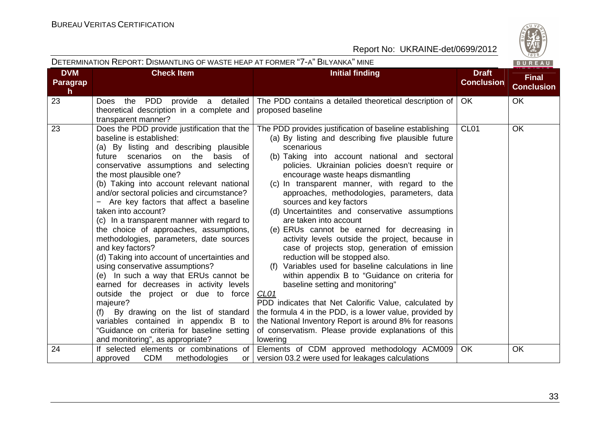|                              | DETERMINATION REPORT: DISMANTLING OF WASTE HEAP AT FORMER "7-A" BILYANKA" MINE                                                                                                                                                                                                                                                                                                                                                                                                                                                                                                                                                                                                                                                                                                                                                                                                                                                                     |                                                                                                                                                                                                                                                                                                                                                                                                                                                                                                                                                                                                                                                                                                                                                                                                                                                                                                                                                                                                                                                                                         |                                   | BUREAU                            |
|------------------------------|----------------------------------------------------------------------------------------------------------------------------------------------------------------------------------------------------------------------------------------------------------------------------------------------------------------------------------------------------------------------------------------------------------------------------------------------------------------------------------------------------------------------------------------------------------------------------------------------------------------------------------------------------------------------------------------------------------------------------------------------------------------------------------------------------------------------------------------------------------------------------------------------------------------------------------------------------|-----------------------------------------------------------------------------------------------------------------------------------------------------------------------------------------------------------------------------------------------------------------------------------------------------------------------------------------------------------------------------------------------------------------------------------------------------------------------------------------------------------------------------------------------------------------------------------------------------------------------------------------------------------------------------------------------------------------------------------------------------------------------------------------------------------------------------------------------------------------------------------------------------------------------------------------------------------------------------------------------------------------------------------------------------------------------------------------|-----------------------------------|-----------------------------------|
| <b>DVM</b><br>Paragrap<br>h. | <b>Check Item</b>                                                                                                                                                                                                                                                                                                                                                                                                                                                                                                                                                                                                                                                                                                                                                                                                                                                                                                                                  | <b>Initial finding</b>                                                                                                                                                                                                                                                                                                                                                                                                                                                                                                                                                                                                                                                                                                                                                                                                                                                                                                                                                                                                                                                                  | <b>Draft</b><br><b>Conclusion</b> | <b>Final</b><br><b>Conclusion</b> |
| 23                           | PDD<br>provide a<br>detailed<br>Does the<br>theoretical description in a complete and<br>transparent manner?                                                                                                                                                                                                                                                                                                                                                                                                                                                                                                                                                                                                                                                                                                                                                                                                                                       | The PDD contains a detailed theoretical description of<br>proposed baseline                                                                                                                                                                                                                                                                                                                                                                                                                                                                                                                                                                                                                                                                                                                                                                                                                                                                                                                                                                                                             | OK                                | <b>OK</b>                         |
| 23                           | Does the PDD provide justification that the<br>baseline is established:<br>(a) By listing and describing plausible<br>future scenarios on the<br>basis<br>of<br>conservative assumptions and selecting<br>the most plausible one?<br>(b) Taking into account relevant national<br>and/or sectoral policies and circumstance?<br>Are key factors that affect a baseline<br>taken into account?<br>(c) In a transparent manner with regard to<br>the choice of approaches, assumptions,<br>methodologies, parameters, date sources<br>and key factors?<br>(d) Taking into account of uncertainties and<br>using conservative assumptions?<br>(e) In such a way that ERUs cannot be<br>earned for decreases in activity levels<br>outside the project or due to force<br>majeure?<br>(f) By drawing on the list of standard<br>variables contained in appendix B to<br>"Guidance on criteria for baseline setting<br>and monitoring", as appropriate? | The PDD provides justification of baseline establishing<br>(a) By listing and describing five plausible future<br>scenarious<br>(b) Taking into account national and sectoral<br>policies. Ukrainian policies doesn't require or<br>encourage waste heaps dismantling<br>(c) In transparent manner, with regard to the<br>approaches, methodologies, parameters, data<br>sources and key factors<br>(d) Uncertaintites and conservative assumptions<br>are taken into account<br>(e) ERUs cannot be earned for decreasing in<br>activity levels outside the project, because in<br>case of projects stop, generation of emission<br>reduction will be stopped also.<br>(f) Variables used for baseline calculations in line<br>within appendix B to "Guidance on criteria for<br>baseline setting and monitoring"<br>CL <sub>01</sub><br>PDD indicates that Net Calorific Value, calculated by<br>the formula 4 in the PDD, is a lower value, provided by<br>the National Inventory Report is around 8% for reasons<br>of conservatism. Please provide explanations of this<br>lowering | CL <sub>01</sub>                  | <b>OK</b>                         |
| 24                           | If selected elements or combinations of<br><b>CDM</b><br>approved<br>methodologies<br>or I                                                                                                                                                                                                                                                                                                                                                                                                                                                                                                                                                                                                                                                                                                                                                                                                                                                         | Elements of CDM approved methodology ACM009<br>version 03.2 were used for leakages calculations                                                                                                                                                                                                                                                                                                                                                                                                                                                                                                                                                                                                                                                                                                                                                                                                                                                                                                                                                                                         | <b>OK</b>                         | OK                                |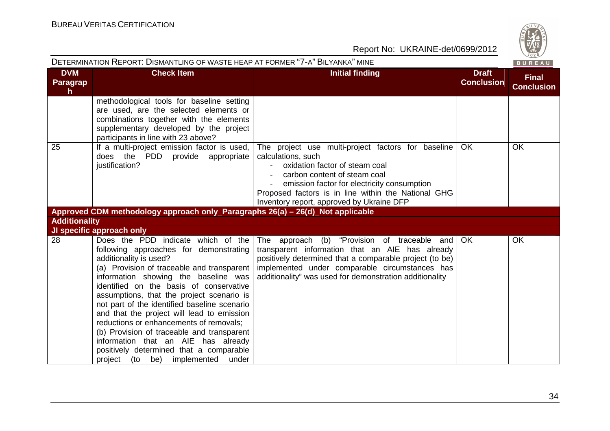| i,           |
|--------------|
|              |
| CO.          |
|              |
| 6<br>۰.<br>╾ |
| 828          |

|                                     | DETERMINATION REPORT: DISMANTLING OF WASTE HEAP AT FORMER "7-A" BILYANKA" MINE                                                                                                                                                                                                                                                                                                                                                                                                                                                                                                                     |                                                                                                                                                                                                                                                                                               |                                   | BUREAU                            |
|-------------------------------------|----------------------------------------------------------------------------------------------------------------------------------------------------------------------------------------------------------------------------------------------------------------------------------------------------------------------------------------------------------------------------------------------------------------------------------------------------------------------------------------------------------------------------------------------------------------------------------------------------|-----------------------------------------------------------------------------------------------------------------------------------------------------------------------------------------------------------------------------------------------------------------------------------------------|-----------------------------------|-----------------------------------|
| <b>DVM</b><br><b>Paragrap</b><br>h. | <b>Check Item</b>                                                                                                                                                                                                                                                                                                                                                                                                                                                                                                                                                                                  | <b>Initial finding</b>                                                                                                                                                                                                                                                                        | <b>Draft</b><br><b>Conclusion</b> | <b>Final</b><br><b>Conclusion</b> |
|                                     | methodological tools for baseline setting<br>are used, are the selected elements or<br>combinations together with the elements<br>supplementary developed by the project<br>participants in line with 23 above?                                                                                                                                                                                                                                                                                                                                                                                    |                                                                                                                                                                                                                                                                                               |                                   |                                   |
| 25                                  | If a multi-project emission factor is used,  <br>does the PDD provide appropriate<br>justification?                                                                                                                                                                                                                                                                                                                                                                                                                                                                                                | The project use multi-project factors for baseline<br>calculations, such<br>oxidation factor of steam coal<br>carbon content of steam coal<br>emission factor for electricity consumption<br>Proposed factors is in line within the National GHG<br>Inventory report, approved by Ukraine DFP | OK.                               | <b>OK</b>                         |
|                                     | Approved CDM methodology approach only_Paragraphs 26(a) - 26(d)_Not applicable                                                                                                                                                                                                                                                                                                                                                                                                                                                                                                                     |                                                                                                                                                                                                                                                                                               |                                   |                                   |
| <b>Additionality</b>                |                                                                                                                                                                                                                                                                                                                                                                                                                                                                                                                                                                                                    |                                                                                                                                                                                                                                                                                               |                                   |                                   |
|                                     | JI specific approach only                                                                                                                                                                                                                                                                                                                                                                                                                                                                                                                                                                          |                                                                                                                                                                                                                                                                                               |                                   |                                   |
| 28                                  | Does the PDD indicate which of the<br>following approaches for demonstrating<br>additionality is used?<br>(a) Provision of traceable and transparent<br>information showing the baseline was<br>identified on the basis of conservative<br>assumptions, that the project scenario is<br>not part of the identified baseline scenario<br>and that the project will lead to emission<br>reductions or enhancements of removals;<br>(b) Provision of traceable and transparent<br>information that an AIE has already<br>positively determined that a comparable<br>project (to be) implemented under | The approach (b) "Provision of traceable and OK<br>transparent information that an AIE has already<br>positively determined that a comparable project (to be)<br>implemented under comparable circumstances has<br>additionality" was used for demonstration additionality                    |                                   | <b>OK</b>                         |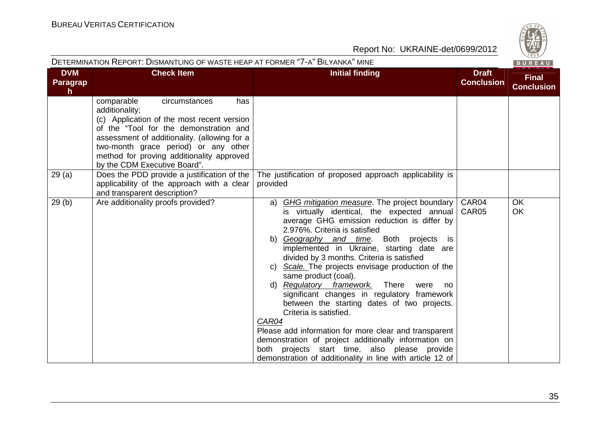| $\omega$ |
|----------|
| W        |
| −<br>828 |
|          |

|                              | DETERMINATION REPORT: DISMANTLING OF WASTE HEAP AT FORMER "7-A" BILYANKA" MINE                                                                                                                                                                                                                                    |                                                                                                                                                                                                                                                                                                                                                                                                                                                                                                                                                                                                                                                                                                                                                                                                                         |                                   | BUREAU                            |
|------------------------------|-------------------------------------------------------------------------------------------------------------------------------------------------------------------------------------------------------------------------------------------------------------------------------------------------------------------|-------------------------------------------------------------------------------------------------------------------------------------------------------------------------------------------------------------------------------------------------------------------------------------------------------------------------------------------------------------------------------------------------------------------------------------------------------------------------------------------------------------------------------------------------------------------------------------------------------------------------------------------------------------------------------------------------------------------------------------------------------------------------------------------------------------------------|-----------------------------------|-----------------------------------|
| <b>DVM</b><br>Paragrap<br>h. | <b>Check Item</b>                                                                                                                                                                                                                                                                                                 | <b>Initial finding</b>                                                                                                                                                                                                                                                                                                                                                                                                                                                                                                                                                                                                                                                                                                                                                                                                  | <b>Draft</b><br><b>Conclusion</b> | <b>Final</b><br><b>Conclusion</b> |
|                              | comparable<br>circumstances<br>has<br>additionality;<br>(c) Application of the most recent version<br>of the "Tool for the demonstration and<br>assessment of additionality. (allowing for a<br>two-month grace period) or any other<br>method for proving additionality approved<br>by the CDM Executive Board". |                                                                                                                                                                                                                                                                                                                                                                                                                                                                                                                                                                                                                                                                                                                                                                                                                         |                                   |                                   |
| 29(a)                        | Does the PDD provide a justification of the<br>applicability of the approach with a clear<br>and transparent description?                                                                                                                                                                                         | The justification of proposed approach applicability is<br>provided                                                                                                                                                                                                                                                                                                                                                                                                                                                                                                                                                                                                                                                                                                                                                     |                                   |                                   |
| 29(b)                        | Are additionality proofs provided?                                                                                                                                                                                                                                                                                | a) GHG mitigation measure. The project boundary<br>is virtually identical, the expected annual<br>average GHG emission reduction is differ by<br>2.976%. Criteria is satisfied<br>b) Geography and time. Both projects<br>is<br>implemented in Ukraine, starting date are<br>divided by 3 months. Criteria is satisfied<br>c) Scale. The projects envisage production of the<br>same product (coal).<br>d) Regulatory framework. There<br>were<br>no<br>significant changes in regulatory framework<br>between the starting dates of two projects.<br>Criteria is satisfied.<br>CAR04<br>Please add information for more clear and transparent<br>demonstration of project additionally information on<br>projects start time, also please provide<br>both<br>demonstration of additionality in line with article 12 of | CAR04<br>CAR05                    | <b>OK</b><br>OK                   |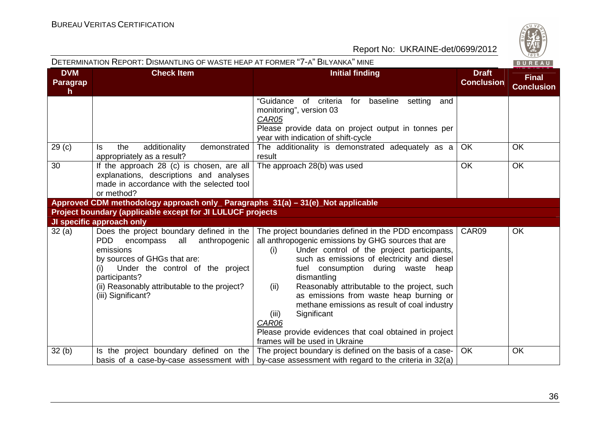|                                    | DETERMINATION REPORT: DISMANTLING OF WASTE HEAP AT FORMER "7-A" BILYANKA" MINE                                                                                                                                                                          |                                                                                                                                                                                                                                                                                                                                                                                                                                                                                                                                                     |                                   | BUREAU                            |
|------------------------------------|---------------------------------------------------------------------------------------------------------------------------------------------------------------------------------------------------------------------------------------------------------|-----------------------------------------------------------------------------------------------------------------------------------------------------------------------------------------------------------------------------------------------------------------------------------------------------------------------------------------------------------------------------------------------------------------------------------------------------------------------------------------------------------------------------------------------------|-----------------------------------|-----------------------------------|
| <b>DVM</b><br><b>Paragrap</b><br>h | <b>Check Item</b>                                                                                                                                                                                                                                       | <b>Initial finding</b>                                                                                                                                                                                                                                                                                                                                                                                                                                                                                                                              | <b>Draft</b><br><b>Conclusion</b> | <b>Final</b><br><b>Conclusion</b> |
|                                    |                                                                                                                                                                                                                                                         | "Guidance<br>of criteria<br>for<br>baseline<br>setting<br>and<br>monitoring", version 03<br>CAR05<br>Please provide data on project output in tonnes per<br>year with indication of shift-cycle                                                                                                                                                                                                                                                                                                                                                     |                                   |                                   |
| 29 <sub>(c)</sub>                  | additionality<br>demonstrated<br>the<br>ls.<br>appropriately as a result?                                                                                                                                                                               | The additionality is demonstrated adequately as a<br>result                                                                                                                                                                                                                                                                                                                                                                                                                                                                                         | <b>OK</b>                         | OK.                               |
| 30                                 | If the approach 28 (c) is chosen, are all<br>explanations, descriptions and analyses<br>made in accordance with the selected tool<br>or method?                                                                                                         | The approach 28(b) was used                                                                                                                                                                                                                                                                                                                                                                                                                                                                                                                         | <b>OK</b>                         | <b>OK</b>                         |
|                                    | Approved CDM methodology approach only_ Paragraphs 31(a) – 31(e)_Not applicable                                                                                                                                                                         |                                                                                                                                                                                                                                                                                                                                                                                                                                                                                                                                                     |                                   |                                   |
|                                    | Project boundary (applicable except for JI LULUCF projects                                                                                                                                                                                              |                                                                                                                                                                                                                                                                                                                                                                                                                                                                                                                                                     |                                   |                                   |
|                                    | JI specific approach only                                                                                                                                                                                                                               |                                                                                                                                                                                                                                                                                                                                                                                                                                                                                                                                                     |                                   |                                   |
| 32(a)                              | Does the project boundary defined in the<br>encompass all anthropogenic<br>PDD.<br>emissions<br>by sources of GHGs that are:<br>Under the control of the project<br>participants?<br>(ii) Reasonably attributable to the project?<br>(iii) Significant? | The project boundaries defined in the PDD encompass<br>all anthropogenic emissions by GHG sources that are<br>Under control of the project participants,<br>(i)<br>such as emissions of electricity and diesel<br>fuel consumption during waste heap<br>dismantling<br>Reasonably attributable to the project, such<br>(ii)<br>as emissions from waste heap burning or<br>methane emissions as result of coal industry<br>Significant<br>(iii)<br>CAR06<br>Please provide evidences that coal obtained in project<br>frames will be used in Ukraine | CAR09                             | OK                                |
| 32(b)                              |                                                                                                                                                                                                                                                         | Is the project boundary defined on the   The project boundary is defined on the basis of a case-                                                                                                                                                                                                                                                                                                                                                                                                                                                    | OK.                               | <b>OK</b>                         |
|                                    |                                                                                                                                                                                                                                                         | basis of a case-by-case assessment with $ $ by-case assessment with regard to the criteria in 32(a)                                                                                                                                                                                                                                                                                                                                                                                                                                                 |                                   |                                   |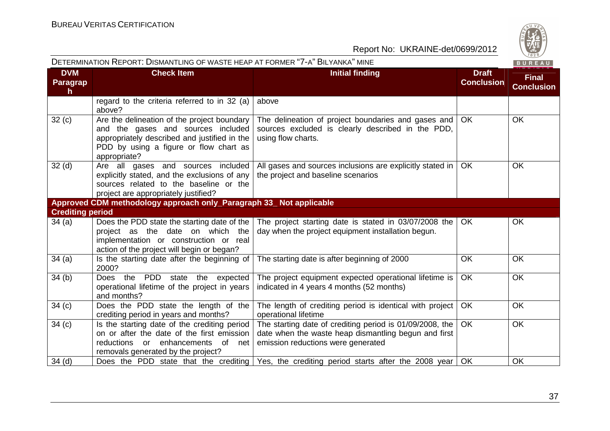|                                        | DETERMINATION REPORT: DISMANTLING OF WASTE HEAP AT FORMER "7-A" BILYANKA" MINE                                                                                                              |                                                                                                                                                        |                                   | BUREAU                            |
|----------------------------------------|---------------------------------------------------------------------------------------------------------------------------------------------------------------------------------------------|--------------------------------------------------------------------------------------------------------------------------------------------------------|-----------------------------------|-----------------------------------|
| <b>DVM</b><br>Paragrap<br>$\mathsf{h}$ | <b>Check Item</b>                                                                                                                                                                           | <b>Initial finding</b>                                                                                                                                 | <b>Draft</b><br><b>Conclusion</b> | <b>Final</b><br><b>Conclusion</b> |
|                                        | regard to the criteria referred to in 32 (a)<br>above?                                                                                                                                      | above                                                                                                                                                  |                                   |                                   |
| 32 <sub>(c)</sub>                      | Are the delineation of the project boundary<br>and the gases and sources included<br>appropriately described and justified in the<br>PDD by using a figure or flow chart as<br>appropriate? | The delineation of project boundaries and gases and<br>sources excluded is clearly described in the PDD,<br>using flow charts.                         | <b>OK</b>                         | <b>OK</b>                         |
| 32 <sub>(d)</sub>                      | Are all gases and sources included<br>explicitly stated, and the exclusions of any<br>sources related to the baseline or the<br>project are appropriately justified?                        | All gases and sources inclusions are explicitly stated in<br>the project and baseline scenarios                                                        | <b>OK</b>                         | <b>OK</b>                         |
|                                        | Approved CDM methodology approach only_Paragraph 33_ Not applicable                                                                                                                         |                                                                                                                                                        |                                   |                                   |
| <b>Crediting period</b>                |                                                                                                                                                                                             |                                                                                                                                                        |                                   |                                   |
| 34 (a)                                 | Does the PDD state the starting date of the<br>project as the date on which the<br>implementation or construction or real<br>action of the project will begin or began?                     | The project starting date is stated in 03/07/2008 the<br>day when the project equipment installation begun.                                            | OK                                | OK                                |
| 34 (a)                                 | Is the starting date after the beginning of<br>2000?                                                                                                                                        | The starting date is after beginning of 2000                                                                                                           | OK                                | OK                                |
| 34(b)                                  | Does the PDD state the expected<br>operational lifetime of the project in years<br>and months?                                                                                              | The project equipment expected operational lifetime is<br>indicated in 4 years 4 months (52 months)                                                    | <b>OK</b>                         | <b>OK</b>                         |
| 34 <sub>(c)</sub>                      | Does the PDD state the length of the<br>crediting period in years and months?                                                                                                               | The length of crediting period is identical with project<br>operational lifetime                                                                       | OK                                | <b>OK</b>                         |
| 34 <sub>(c)</sub>                      | Is the starting date of the crediting period<br>on or after the date of the first emission<br>enhancements<br>of net<br>reductions<br>or<br>removals generated by the project?              | The starting date of crediting period is 01/09/2008, the<br>date when the waste heap dismantling begun and first<br>emission reductions were generated | <b>OK</b>                         | OK                                |
| $34$ (d)                               |                                                                                                                                                                                             | Does the PDD state that the crediting Yes, the crediting period starts after the 2008 year                                                             | OK                                | OK                                |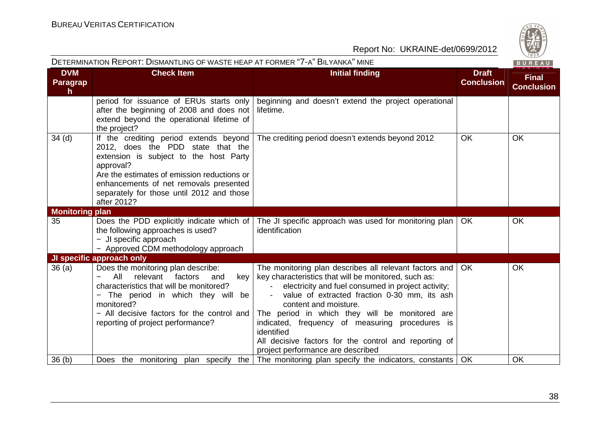

|                             | DETERMINATION REPORT: DISMANTLING OF WASTE HEAP AT FORMER "7-A" BILYANKA" MINE                                                                                                                                                                                                          |                                                                                                                                                                                                                                                                                                                                                                                                                                                                |                                   | BUREAU                            |
|-----------------------------|-----------------------------------------------------------------------------------------------------------------------------------------------------------------------------------------------------------------------------------------------------------------------------------------|----------------------------------------------------------------------------------------------------------------------------------------------------------------------------------------------------------------------------------------------------------------------------------------------------------------------------------------------------------------------------------------------------------------------------------------------------------------|-----------------------------------|-----------------------------------|
| <b>DVM</b><br>Paragrap<br>h | <b>Check Item</b>                                                                                                                                                                                                                                                                       | <b>Initial finding</b>                                                                                                                                                                                                                                                                                                                                                                                                                                         | <b>Draft</b><br><b>Conclusion</b> | <b>Final</b><br><b>Conclusion</b> |
|                             | period for issuance of ERUs starts only<br>after the beginning of 2008 and does not<br>extend beyond the operational lifetime of<br>the project?                                                                                                                                        | beginning and doesn't extend the project operational<br>lifetime.                                                                                                                                                                                                                                                                                                                                                                                              |                                   |                                   |
| $34$ (d)                    | If the crediting period extends beyond<br>2012, does the PDD state that the<br>extension is subject to the host Party<br>approval?<br>Are the estimates of emission reductions or<br>enhancements of net removals presented<br>separately for those until 2012 and those<br>after 2012? | The crediting period doesn't extends beyond 2012                                                                                                                                                                                                                                                                                                                                                                                                               | <b>OK</b>                         | <b>OK</b>                         |
| <b>Monitoring plan</b>      |                                                                                                                                                                                                                                                                                         |                                                                                                                                                                                                                                                                                                                                                                                                                                                                |                                   |                                   |
| 35                          | Does the PDD explicitly indicate which of<br>the following approaches is used?<br>- JI specific approach<br>- Approved CDM methodology approach                                                                                                                                         | The JI specific approach was used for monitoring plan  <br>identification                                                                                                                                                                                                                                                                                                                                                                                      | OK.                               | <b>OK</b>                         |
|                             | JI specific approach only                                                                                                                                                                                                                                                               |                                                                                                                                                                                                                                                                                                                                                                                                                                                                |                                   |                                   |
| 36(a)                       | Does the monitoring plan describe:<br>relevant<br>factors<br>All<br>and<br>key<br>characteristics that will be monitored?<br>The period in which they will be<br>monitored?<br>- All decisive factors for the control and<br>reporting of project performance?                          | The monitoring plan describes all relevant factors and<br>key characteristics that will be monitored, such as:<br>electricity and fuel consumed in project activity;<br>value of extracted fraction 0-30 mm, its ash<br>content and moisture.<br>The period in which they will be monitored are<br>indicated, frequency of measuring procedures is<br>identified<br>All decisive factors for the control and reporting of<br>project performance are described | OK.                               | <b>OK</b>                         |
| 36(h)                       | Does the monitoring plan specify the                                                                                                                                                                                                                                                    | The monitoring plan specify the indicators, constants   OK                                                                                                                                                                                                                                                                                                                                                                                                     |                                   | <b>OK</b>                         |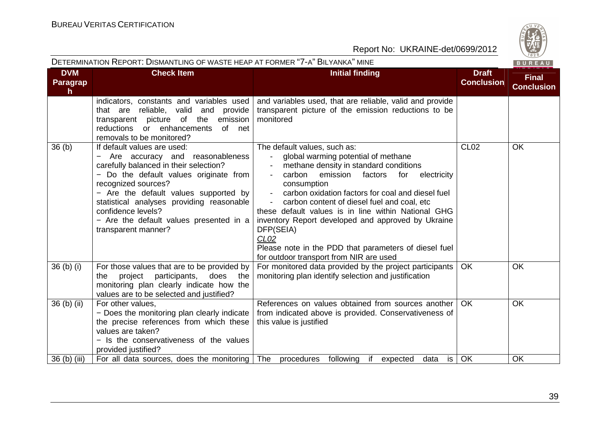|                              | DETERMINATION REPORT: DISMANTLING OF WASTE HEAP AT FORMER "7-A" BILYANKA" MINE                                                                                                                                                                                                                                                                          |                                                                                                                                                                                                                                                                                                                                                                                                                                                                                                                                                                            |                                   | BUREAU                            |
|------------------------------|---------------------------------------------------------------------------------------------------------------------------------------------------------------------------------------------------------------------------------------------------------------------------------------------------------------------------------------------------------|----------------------------------------------------------------------------------------------------------------------------------------------------------------------------------------------------------------------------------------------------------------------------------------------------------------------------------------------------------------------------------------------------------------------------------------------------------------------------------------------------------------------------------------------------------------------------|-----------------------------------|-----------------------------------|
| <b>DVM</b><br>Paragrap<br>h. | <b>Check Item</b>                                                                                                                                                                                                                                                                                                                                       | <b>Initial finding</b>                                                                                                                                                                                                                                                                                                                                                                                                                                                                                                                                                     | <b>Draft</b><br><b>Conclusion</b> | <b>Final</b><br><b>Conclusion</b> |
|                              | indicators, constants and variables used<br>that are reliable, valid and provide<br>transparent picture of the emission<br>of net<br>reductions<br>or enhancements<br>removals to be monitored?                                                                                                                                                         | and variables used, that are reliable, valid and provide<br>transparent picture of the emission reductions to be<br>monitored                                                                                                                                                                                                                                                                                                                                                                                                                                              |                                   |                                   |
| 36(b)                        | If default values are used:<br>Are accuracy and reasonableness<br>carefully balanced in their selection?<br>- Do the default values originate from<br>recognized sources?<br>- Are the default values supported by<br>statistical analyses providing reasonable<br>confidence levels?<br>- Are the default values presented in a<br>transparent manner? | The default values, such as:<br>global warming potential of methane<br>methane density in standard conditions<br>carbon emission<br>factors<br>for<br>electricity<br>consumption<br>carbon oxidation factors for coal and diesel fuel<br>$\blacksquare$<br>carbon content of diesel fuel and coal, etc<br>$\blacksquare$<br>these default values is in line within National GHG<br>inventory Report developed and approved by Ukraine<br>DFP(SEIA)<br>CL <sub>02</sub><br>Please note in the PDD that parameters of diesel fuel<br>for outdoor transport from NIR are used | <b>CL02</b>                       | OK                                |
| $36$ (b) (i)                 | For those values that are to be provided by<br>project participants,<br>does the<br>the<br>monitoring plan clearly indicate how the<br>values are to be selected and justified?                                                                                                                                                                         | For monitored data provided by the project participants<br>monitoring plan identify selection and justification                                                                                                                                                                                                                                                                                                                                                                                                                                                            | <b>OK</b>                         | OK                                |
| $36$ (b) (ii)                | For other values,<br>- Does the monitoring plan clearly indicate<br>the precise references from which these<br>values are taken?<br>- Is the conservativeness of the values<br>provided justified?                                                                                                                                                      | References on values obtained from sources another<br>from indicated above is provided. Conservativeness of<br>this value is justified                                                                                                                                                                                                                                                                                                                                                                                                                                     | <b>OK</b>                         | <b>OK</b>                         |
| 36 (b) (iii)                 | For all data sources, does the monitoring   The procedures following                                                                                                                                                                                                                                                                                    | if<br>is<br>expected<br>data                                                                                                                                                                                                                                                                                                                                                                                                                                                                                                                                               | OK                                | OK                                |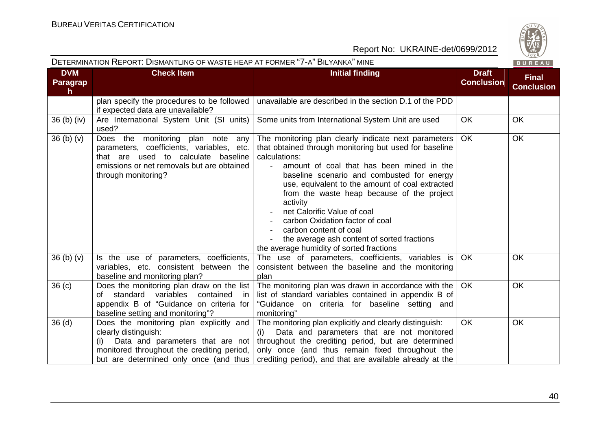

|                                  | DETERMINATION REPORT: DISMANTLING OF WASTE HEAP AT FORMER "7-A" BILYANKA" MINE                                                                                                              |                                                                                                                                                                                                                                                                                                                                                                                                                                                                                                                                |                                   | BUREAU                            |
|----------------------------------|---------------------------------------------------------------------------------------------------------------------------------------------------------------------------------------------|--------------------------------------------------------------------------------------------------------------------------------------------------------------------------------------------------------------------------------------------------------------------------------------------------------------------------------------------------------------------------------------------------------------------------------------------------------------------------------------------------------------------------------|-----------------------------------|-----------------------------------|
| <b>DVM</b><br>Paragrap<br>h      | <b>Check Item</b>                                                                                                                                                                           | <b>Initial finding</b>                                                                                                                                                                                                                                                                                                                                                                                                                                                                                                         | <b>Draft</b><br><b>Conclusion</b> | <b>Final</b><br><b>Conclusion</b> |
|                                  | plan specify the procedures to be followed<br>if expected data are unavailable?                                                                                                             | unavailable are described in the section D.1 of the PDD                                                                                                                                                                                                                                                                                                                                                                                                                                                                        |                                   |                                   |
| 36 (b) (iv)                      | Are International System Unit (SI units)<br>used?                                                                                                                                           | Some units from International System Unit are used                                                                                                                                                                                                                                                                                                                                                                                                                                                                             | OK                                | <b>OK</b>                         |
| 36 <sub>(b)</sub> <sub>(v)</sub> | Does the monitoring plan note any<br>parameters, coefficients, variables, etc.<br>that are used to calculate baseline<br>emissions or net removals but are obtained<br>through monitoring?  | The monitoring plan clearly indicate next parameters<br>that obtained through monitoring but used for baseline<br>calculations:<br>amount of coal that has been mined in the<br>baseline scenario and combusted for energy<br>use, equivalent to the amount of coal extracted<br>from the waste heap because of the project<br>activity<br>net Calorific Value of coal<br>carbon Oxidation factor of coal<br>carbon content of coal<br>the average ash content of sorted fractions<br>the average humidity of sorted fractions | OK.                               | <b>OK</b>                         |
| 36(b)(v)                         | Is the use of parameters, coefficients,<br>variables, etc. consistent between the<br>baseline and monitoring plan?                                                                          | The use of parameters, coefficients, variables is<br>consistent between the baseline and the monitoring<br>plan                                                                                                                                                                                                                                                                                                                                                                                                                | <b>OK</b>                         | OK                                |
| 36 <sub>(c)</sub>                | Does the monitoring plan draw on the list<br>of standard variables<br>contained<br>in<br>appendix B of "Guidance on criteria for<br>baseline setting and monitoring"?                       | The monitoring plan was drawn in accordance with the<br>list of standard variables contained in appendix B of<br>"Guidance on criteria for baseline setting and<br>monitoring"                                                                                                                                                                                                                                                                                                                                                 | <b>OK</b>                         | <b>OK</b>                         |
| 36 <sub>(d)</sub>                | Does the monitoring plan explicitly and<br>clearly distinguish:<br>Data and parameters that are not<br>monitored throughout the crediting period,<br>but are determined only once (and thus | The monitoring plan explicitly and clearly distinguish:<br>Data and parameters that are not monitored<br>(i)<br>throughout the crediting period, but are determined<br>only once (and thus remain fixed throughout the<br>crediting period), and that are available already at the                                                                                                                                                                                                                                             | <b>OK</b>                         | OK                                |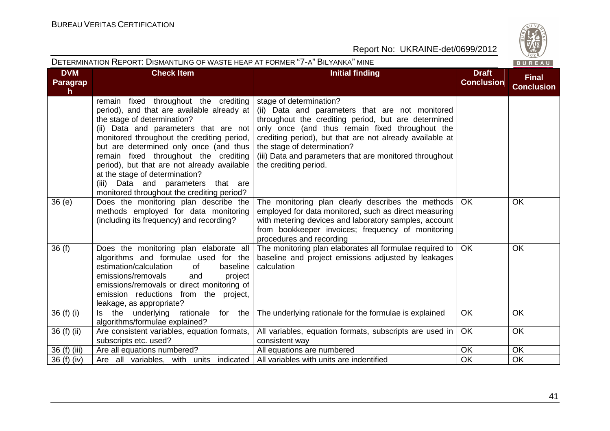

#### DETERMINATION REPORT: DISMANTLING OF WASTE HEAP AT FORMER "7-A" <sup>B</sup>ILYANKA" MINEBUREAU **DVM Check Item Initial finding Draft Final ConclusionParagrapConclusionh** remain fixed throughout the crediting stage of determination? period), and that are available already at (ii) Data and parameters that are not monitored the stage of determination? throughout the crediting period, but are determined (ii) Data and parameters that are not only once (and thus remain fixed throughout the monitored throughout the crediting period, crediting period), but that are not already available at but are determined only once (and thus the stage of determination? remain fixed throughout the crediting (iii) Data and parameters that are monitored throughout the crediting period. period), but that are not already available at the stage of determination? (iii) Data and parameters that are monitored throughout the crediting period? 36 (e) Does the monitoring plan describe the The monitoring plan clearly describes the methods OK OK methods employed for data monitoring employed for data monitored, such as direct measuring (including its frequency) and recording? with metering devices and laboratory samples, account from bookkeeper invoices; frequency of monitoring procedures and recording 36 (f) Does the monitoring plan elaborate all The monitoring plan elaborates all formulae required to OK OK algorithms and formulae used for the baseline and project emissions adjusted by leakagesestimation/calculation of baseline calculation emissions/removals and project emissions/removals or direct monitoring of emission reductions from the project, leakage, as appropriate? 36 (f) (i)  $\vert$  is the underlying rationale for the The underlying rationale for the formulae is explained  $\Box$  OK  $\Box$  OK algorithms/formulae explained? 36 (f) (ii)  $\vert$  Are consistent variables, equation formats, All variables, equation formats, subscripts are used in OK OK subscripts etc. used? consistent way All equations are numbered 36 (f) (iii) Are all equations numbered? All equations are numbered All equations are numbered and  $\overline{OK}$  OK 36 (f) (iv)  $\vert$  Are all variables, with units indicated All variables with units are indentified  $\vert$  OK  $\overline{OK}$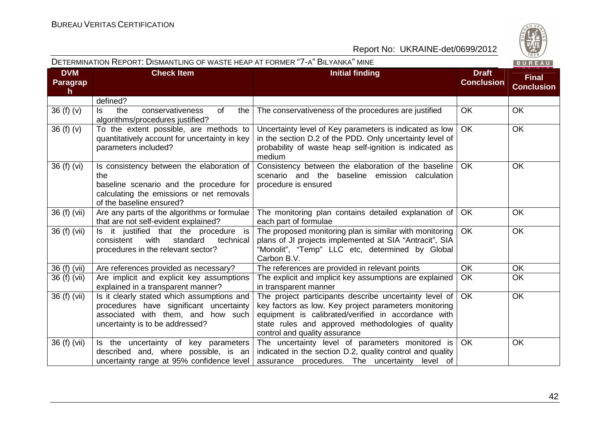

|                                        | DETERMINATION KEPORT. DISMANTLING OF WASTE HEAP AT FORMER 1-A DILYANKA MINE                                                                                          |                                                                                                                                                                                                                                                              |                                   | B U R E A U                       |
|----------------------------------------|----------------------------------------------------------------------------------------------------------------------------------------------------------------------|--------------------------------------------------------------------------------------------------------------------------------------------------------------------------------------------------------------------------------------------------------------|-----------------------------------|-----------------------------------|
| <b>DVM</b><br>Paragrap<br>$\mathsf{h}$ | <b>Check Item</b>                                                                                                                                                    | <b>Initial finding</b>                                                                                                                                                                                                                                       | <b>Draft</b><br><b>Conclusion</b> | <b>Final</b><br><b>Conclusion</b> |
|                                        | defined?                                                                                                                                                             |                                                                                                                                                                                                                                                              |                                   |                                   |
| 36 $(f)(v)$                            | conservativeness<br>of<br>the<br>the<br>ls.<br>algorithms/procedures justified?                                                                                      | The conservativeness of the procedures are justified                                                                                                                                                                                                         | OK                                | <b>OK</b>                         |
| 36(f)(v)                               | To the extent possible, are methods to<br>quantitatively account for uncertainty in key<br>parameters included?                                                      | Uncertainty level of Key parameters is indicated as low<br>in the section D.2 of the PDD. Only uncertainty level of<br>probability of waste heap self-ignition is indicated as<br>medium                                                                     | <b>OK</b>                         | <b>OK</b>                         |
| 36 (f) (vi)                            | Is consistency between the elaboration of<br>the<br>baseline scenario and the procedure for<br>calculating the emissions or net removals<br>of the baseline ensured? | Consistency between the elaboration of the baseline<br>scenario and the baseline emission<br>calculation<br>procedure is ensured                                                                                                                             | <b>OK</b>                         | OK                                |
| 36 (f) (vii)                           | Are any parts of the algorithms or formulae<br>that are not self-evident explained?                                                                                  | The monitoring plan contains detailed explanation of<br>each part of formulae                                                                                                                                                                                | OK                                | OK                                |
| 36 (f) (vii)                           | Is it justified that the procedure is<br>consistent<br>with<br>standard<br>technical<br>procedures in the relevant sector?                                           | The proposed monitoring plan is similar with monitoring<br>plans of JI projects implemented at SIA "Antracit", SIA<br>"Monolit", "Temp" LLC etc, determined by Global<br>Carbon B.V.                                                                         | <b>OK</b>                         | <b>OK</b>                         |
| 36 (f) (vii)                           | Are references provided as necessary?                                                                                                                                | The references are provided in relevant points                                                                                                                                                                                                               | <b>OK</b>                         | OK                                |
| 36 (f) (vii)                           | Are implicit and explicit key assumptions<br>explained in a transparent manner?                                                                                      | The explicit and implicit key assumptions are explained<br>in transparent manner                                                                                                                                                                             | OK                                | OK                                |
| 36(f)(vi)                              | Is it clearly stated which assumptions and<br>procedures have significant uncertainty<br>associated with them, and how such<br>uncertainty is to be addressed?       | The project participants describe uncertainty level of<br>key factors as low. Key project parameters monitoring<br>equipment is calibrated/verified in accordance with<br>state rules and approved methodologies of quality<br>control and quality assurance | <b>OK</b>                         | <b>OK</b>                         |
| 36 (f) (vii)                           | Is the uncertainty of key parameters<br>described and, where possible, is an<br>uncertainty range at 95% confidence level                                            | The uncertainty level of parameters monitored is<br>indicated in the section D.2, quality control and quality<br>assurance procedures. The uncertainty level of                                                                                              | OK                                | OK                                |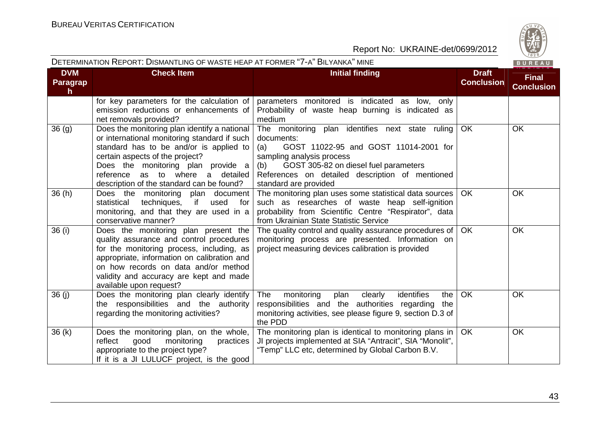

|                              | DETERMINATION REPORT: DISMANTLING OF WASTE HEAP AT FORMER "7-A" BILYANKA" MINE                                                                                                                                                                                                                       |                                                                                                                                                                                                                                                                         |                                   | BUREAU                            |
|------------------------------|------------------------------------------------------------------------------------------------------------------------------------------------------------------------------------------------------------------------------------------------------------------------------------------------------|-------------------------------------------------------------------------------------------------------------------------------------------------------------------------------------------------------------------------------------------------------------------------|-----------------------------------|-----------------------------------|
| <b>DVM</b><br>Paragrap<br>h. | <b>Check Item</b>                                                                                                                                                                                                                                                                                    | <b>Initial finding</b>                                                                                                                                                                                                                                                  | <b>Draft</b><br><b>Conclusion</b> | <b>Final</b><br><b>Conclusion</b> |
|                              | for key parameters for the calculation of<br>emission reductions or enhancements of<br>net removals provided?                                                                                                                                                                                        | parameters monitored is indicated as low, only<br>Probability of waste heap burning is indicated as<br>medium                                                                                                                                                           |                                   |                                   |
| 36(9)                        | Does the monitoring plan identify a national<br>or international monitoring standard if such<br>standard has to be and/or is applied to<br>certain aspects of the project?<br>Does the monitoring plan provide a<br>reference as to where<br>a detailed<br>description of the standard can be found? | The monitoring plan identifies next state ruling<br>documents:<br>(a)<br>GOST 11022-95 and GOST 11014-2001 for<br>sampling analysis process<br>GOST 305-82 on diesel fuel parameters<br>(b)<br>References on detailed description of mentioned<br>standard are provided | OK                                | OK                                |
| 36(h)                        | Does the monitoring plan document<br>statistical<br>techniques,<br>if<br>used<br>for<br>monitoring, and that they are used in a<br>conservative manner?                                                                                                                                              | The monitoring plan uses some statistical data sources<br>such as researches of waste heap self-ignition<br>probability from Scientific Centre "Respirator", data<br>from Ukrainian State Statistic Service                                                             | <b>OK</b>                         | OK                                |
| 36(i)                        | Does the monitoring plan present the<br>quality assurance and control procedures<br>for the monitoring process, including, as<br>appropriate, information on calibration and<br>on how records on data and/or method<br>validity and accuracy are kept and made<br>available upon request?           | The quality control and quality assurance procedures of<br>monitoring process are presented. Information on<br>project measuring devices calibration is provided                                                                                                        | <b>OK</b>                         | <b>OK</b>                         |
| 36(j)                        | Does the monitoring plan clearly identify<br>the responsibilities and the authority<br>regarding the monitoring activities?                                                                                                                                                                          | monitoring<br>The<br>plan<br>clearly<br>identifies<br>the<br>responsibilities and the authorities regarding<br>the<br>monitoring activities, see please figure 9, section D.3 of<br>the PDD                                                                             | OK                                | OK                                |
| 36(k)                        | Does the monitoring plan, on the whole,<br>reflect<br>good<br>monitoring<br>practices<br>appropriate to the project type?<br>If it is a JI LULUCF project, is the good                                                                                                                               | The monitoring plan is identical to monitoring plans in<br>JI projects implemented at SIA "Antracit", SIA "Monolit",<br>"Temp" LLC etc, determined by Global Carbon B.V.                                                                                                | <b>OK</b>                         | OK                                |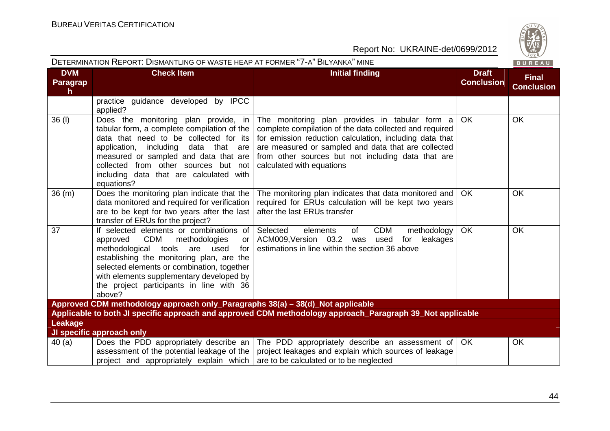| CO. |
|-----|
|     |
| W   |
|     |
| 828 |
|     |

|                                                                                                           | DETERMINATION REPORT: DISMANTLING OF WASTE HEAP AT FORMER "7-A" BILYANKA" MINE                                                                                                                                                                                                                                                         |                                                                                                                                                                                                                                                                                                                |                                   | BUREAU                            |  |
|-----------------------------------------------------------------------------------------------------------|----------------------------------------------------------------------------------------------------------------------------------------------------------------------------------------------------------------------------------------------------------------------------------------------------------------------------------------|----------------------------------------------------------------------------------------------------------------------------------------------------------------------------------------------------------------------------------------------------------------------------------------------------------------|-----------------------------------|-----------------------------------|--|
| <b>DVM</b><br><b>Paragrap</b><br>$\mathsf{h}$                                                             | <b>Check Item</b>                                                                                                                                                                                                                                                                                                                      | <b>Initial finding</b>                                                                                                                                                                                                                                                                                         | <b>Draft</b><br><b>Conclusion</b> | <b>Final</b><br><b>Conclusion</b> |  |
|                                                                                                           | practice guidance developed by IPCC<br>applied?                                                                                                                                                                                                                                                                                        |                                                                                                                                                                                                                                                                                                                |                                   |                                   |  |
| $36$ (I)                                                                                                  | Does the monitoring plan provide, in<br>tabular form, a complete compilation of the<br>data that need to be collected for its<br>application, including<br>data that are<br>measured or sampled and data that are<br>collected from other sources but not<br>including data that are calculated with<br>equations?                     | The monitoring plan provides in tabular form a<br>complete compilation of the data collected and required<br>for emission reduction calculation, including data that<br>are measured or sampled and data that are collected<br>from other sources but not including data that are<br>calculated with equations | <b>OK</b>                         | OK                                |  |
| 36(m)                                                                                                     | Does the monitoring plan indicate that the<br>data monitored and required for verification<br>are to be kept for two years after the last<br>transfer of ERUs for the project?                                                                                                                                                         | The monitoring plan indicates that data monitored and<br>required for ERUs calculation will be kept two years<br>after the last ERUs transfer                                                                                                                                                                  | <b>OK</b>                         | OK                                |  |
| 37                                                                                                        | If selected elements or combinations of<br><b>CDM</b><br>methodologies<br>approved<br>or<br>methodological<br>tools<br>are<br>used<br>for<br>establishing the monitoring plan, are the<br>selected elements or combination, together<br>with elements supplementary developed by<br>the project participants in line with 36<br>above? | <b>CDM</b><br>Selected<br>of<br>methodology<br>elements<br>ACM009, Version 03.2 was<br>leakages<br>used<br>for<br>estimations in line within the section 36 above                                                                                                                                              | <b>OK</b>                         | OK                                |  |
|                                                                                                           | Approved CDM methodology approach only_Paragraphs 38(a) - 38(d)_Not applicable                                                                                                                                                                                                                                                         |                                                                                                                                                                                                                                                                                                                |                                   |                                   |  |
| Applicable to both JI specific approach and approved CDM methodology approach_Paragraph 39_Not applicable |                                                                                                                                                                                                                                                                                                                                        |                                                                                                                                                                                                                                                                                                                |                                   |                                   |  |
| Leakage                                                                                                   | JI specific approach only                                                                                                                                                                                                                                                                                                              |                                                                                                                                                                                                                                                                                                                |                                   |                                   |  |
| 40(a)                                                                                                     | Does the PDD appropriately describe an  <br>assessment of the potential leakage of the<br>project and appropriately explain which                                                                                                                                                                                                      | The PDD appropriately describe an assessment of<br>project leakages and explain which sources of leakage<br>are to be calculated or to be neglected                                                                                                                                                            | OK.                               | OK                                |  |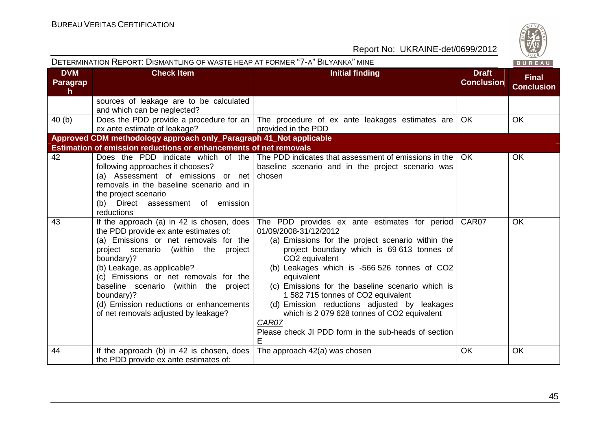| DETERMINATION REPORT: DISMANTLING OF WASTE HEAP AT FORMER "7-A" BILYANKA" MINE<br>BUREAU |                                                                                                                                                                                                                                                                                                                                                                                                                |                                                                                                                                                                                                                                                                                                                                                                                                                                                                                                                                 |                                   |                                   |  |  |  |
|------------------------------------------------------------------------------------------|----------------------------------------------------------------------------------------------------------------------------------------------------------------------------------------------------------------------------------------------------------------------------------------------------------------------------------------------------------------------------------------------------------------|---------------------------------------------------------------------------------------------------------------------------------------------------------------------------------------------------------------------------------------------------------------------------------------------------------------------------------------------------------------------------------------------------------------------------------------------------------------------------------------------------------------------------------|-----------------------------------|-----------------------------------|--|--|--|
| <b>DVM</b><br>Paragrap<br>$\mathsf{h}$                                                   | <b>Check Item</b>                                                                                                                                                                                                                                                                                                                                                                                              | <b>Initial finding</b>                                                                                                                                                                                                                                                                                                                                                                                                                                                                                                          | <b>Draft</b><br><b>Conclusion</b> | <b>Final</b><br><b>Conclusion</b> |  |  |  |
|                                                                                          | sources of leakage are to be calculated<br>and which can be neglected?                                                                                                                                                                                                                                                                                                                                         |                                                                                                                                                                                                                                                                                                                                                                                                                                                                                                                                 |                                   |                                   |  |  |  |
| 40(b)                                                                                    | ex ante estimate of leakage?                                                                                                                                                                                                                                                                                                                                                                                   | Does the PDD provide a procedure for an $\vert$ The procedure of ex ante leakages estimates are<br>provided in the PDD                                                                                                                                                                                                                                                                                                                                                                                                          | OK                                | <b>OK</b>                         |  |  |  |
|                                                                                          | Approved CDM methodology approach only_Paragraph 41_Not applicable                                                                                                                                                                                                                                                                                                                                             |                                                                                                                                                                                                                                                                                                                                                                                                                                                                                                                                 |                                   |                                   |  |  |  |
|                                                                                          | Estimation of emission reductions or enhancements of net removals                                                                                                                                                                                                                                                                                                                                              |                                                                                                                                                                                                                                                                                                                                                                                                                                                                                                                                 |                                   |                                   |  |  |  |
| 42                                                                                       | following approaches it chooses?<br>(a) Assessment of emissions or net<br>removals in the baseline scenario and in<br>the project scenario<br>(b) Direct assessment of emission<br>reductions                                                                                                                                                                                                                  | Does the PDD indicate which of the The PDD indicates that assessment of emissions in the<br>baseline scenario and in the project scenario was<br>chosen                                                                                                                                                                                                                                                                                                                                                                         | <b>OK</b>                         | <b>OK</b>                         |  |  |  |
| 43                                                                                       | If the approach (a) in 42 is chosen, does $\vert$<br>the PDD provide ex ante estimates of:<br>(a) Emissions or net removals for the<br>project scenario (within the<br>project<br>boundary)?<br>(b) Leakage, as applicable?<br>(c) Emissions or net removals for the<br>baseline scenario (within the project<br>boundary)?<br>(d) Emission reductions or enhancements<br>of net removals adjusted by leakage? | The PDD provides ex ante estimates for period<br>01/09/2008-31/12/2012<br>(a) Emissions for the project scenario within the<br>project boundary which is 69 613 tonnes of<br>CO <sub>2</sub> equivalent<br>(b) Leakages which is -566 526 tonnes of CO2<br>equivalent<br>(c) Emissions for the baseline scenario which is<br>1 582 715 tonnes of CO2 equivalent<br>(d) Emission reductions adjusted by leakages<br>which is 2 079 628 tonnes of CO2 equivalent<br>CAR07<br>Please check JI PDD form in the sub-heads of section | CAR07                             | <b>OK</b>                         |  |  |  |
| 44                                                                                       | If the approach (b) in 42 is chosen, does<br>the PDD provide ex ante estimates of:                                                                                                                                                                                                                                                                                                                             | The approach 42(a) was chosen                                                                                                                                                                                                                                                                                                                                                                                                                                                                                                   | <b>OK</b>                         | <b>OK</b>                         |  |  |  |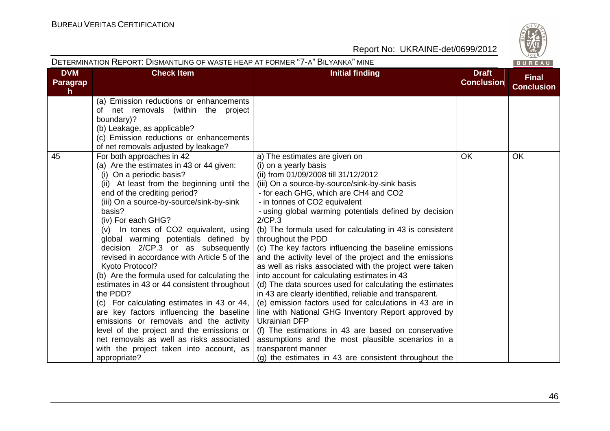| tn  |
|-----|
| ሕ   |
|     |
| 828 |

| DETERMINATION REPORT: DISMANTLING OF WASTE HEAP AT FORMER "7-A" BILYANKA" MINE |                                                                                                                                                                                                                                                                                                                                                                                                                                                                                                                                                                                                                                                                                                                                                                                                                                                         |                                                                                                                                                                                                                                                                                                                                                                                                                                                                                                                                                                                                                                                                                                                                                                                                                                                                                                                                                                                                                                                                            |                                   | $\sqrt{828}$<br>BUREAU            |
|--------------------------------------------------------------------------------|---------------------------------------------------------------------------------------------------------------------------------------------------------------------------------------------------------------------------------------------------------------------------------------------------------------------------------------------------------------------------------------------------------------------------------------------------------------------------------------------------------------------------------------------------------------------------------------------------------------------------------------------------------------------------------------------------------------------------------------------------------------------------------------------------------------------------------------------------------|----------------------------------------------------------------------------------------------------------------------------------------------------------------------------------------------------------------------------------------------------------------------------------------------------------------------------------------------------------------------------------------------------------------------------------------------------------------------------------------------------------------------------------------------------------------------------------------------------------------------------------------------------------------------------------------------------------------------------------------------------------------------------------------------------------------------------------------------------------------------------------------------------------------------------------------------------------------------------------------------------------------------------------------------------------------------------|-----------------------------------|-----------------------------------|
| <b>DVM</b><br><b>Paragrap</b><br>h.                                            | <b>Check Item</b>                                                                                                                                                                                                                                                                                                                                                                                                                                                                                                                                                                                                                                                                                                                                                                                                                                       | <b>Initial finding</b>                                                                                                                                                                                                                                                                                                                                                                                                                                                                                                                                                                                                                                                                                                                                                                                                                                                                                                                                                                                                                                                     | <b>Draft</b><br><b>Conclusion</b> | <b>Final</b><br><b>Conclusion</b> |
|                                                                                | (a) Emission reductions or enhancements<br>of net removals (within the project<br>boundary)?<br>(b) Leakage, as applicable?<br>(c) Emission reductions or enhancements<br>of net removals adjusted by leakage?                                                                                                                                                                                                                                                                                                                                                                                                                                                                                                                                                                                                                                          |                                                                                                                                                                                                                                                                                                                                                                                                                                                                                                                                                                                                                                                                                                                                                                                                                                                                                                                                                                                                                                                                            |                                   |                                   |
| 45                                                                             | For both approaches in 42<br>(a) Are the estimates in 43 or 44 given:<br>(i) On a periodic basis?<br>(ii) At least from the beginning until the<br>end of the crediting period?<br>(iii) On a source-by-source/sink-by-sink<br>basis?<br>(iv) For each GHG?<br>(v) In tones of CO2 equivalent, using<br>global warming potentials defined by<br>decision 2/CP.3 or as subsequently<br>revised in accordance with Article 5 of the<br>Kyoto Protocol?<br>(b) Are the formula used for calculating the<br>estimates in 43 or 44 consistent throughout<br>the PDD?<br>(c) For calculating estimates in 43 or 44,<br>are key factors influencing the baseline<br>emissions or removals and the activity<br>level of the project and the emissions or<br>net removals as well as risks associated<br>with the project taken into account, as<br>appropriate? | a) The estimates are given on<br>(i) on a yearly basis<br>(ii) from 01/09/2008 till 31/12/2012<br>(iii) On a source-by-source/sink-by-sink basis<br>- for each GHG, which are CH4 and CO2<br>- in tonnes of CO2 equivalent<br>- using global warming potentials defined by decision<br>2/CP.3<br>(b) The formula used for calculating in 43 is consistent<br>throughout the PDD<br>(c) The key factors influencing the baseline emissions<br>and the activity level of the project and the emissions<br>as well as risks associated with the project were taken<br>into account for calculating estimates in 43<br>(d) The data sources used for calculating the estimates<br>in 43 are clearly identified, reliable and transparent.<br>(e) emission factors used for calculations in 43 are in<br>line with National GHG Inventory Report approved by<br><b>Ukrainian DFP</b><br>(f) The estimations in 43 are based on conservative<br>assumptions and the most plausible scenarios in a<br>transparent manner<br>(g) the estimates in 43 are consistent throughout the | <b>OK</b>                         | OK                                |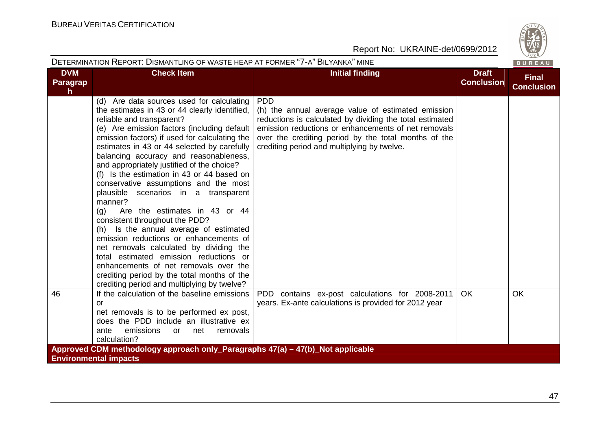| DETERMINATION REPORT: DISMANTLING OF WASTE HEAP AT FORMER "7-A" BILYANKA" MINE |                                                                                                                                                                                                                                                                                                                                                                                                                                                                                                                                                                                                                                                                                                                                                                                                                                                                                                    |                                                                                                                                                                                                                                                                                            |                                   |                                   |  |  |
|--------------------------------------------------------------------------------|----------------------------------------------------------------------------------------------------------------------------------------------------------------------------------------------------------------------------------------------------------------------------------------------------------------------------------------------------------------------------------------------------------------------------------------------------------------------------------------------------------------------------------------------------------------------------------------------------------------------------------------------------------------------------------------------------------------------------------------------------------------------------------------------------------------------------------------------------------------------------------------------------|--------------------------------------------------------------------------------------------------------------------------------------------------------------------------------------------------------------------------------------------------------------------------------------------|-----------------------------------|-----------------------------------|--|--|
| <b>DVM</b><br>Paragrap<br>$\mathsf{h}$                                         | <b>Check Item</b>                                                                                                                                                                                                                                                                                                                                                                                                                                                                                                                                                                                                                                                                                                                                                                                                                                                                                  | <b>Initial finding</b>                                                                                                                                                                                                                                                                     | <b>Draft</b><br><b>Conclusion</b> | <b>Final</b><br><b>Conclusion</b> |  |  |
|                                                                                | (d) Are data sources used for calculating<br>the estimates in 43 or 44 clearly identified,<br>reliable and transparent?<br>(e) Are emission factors (including default<br>emission factors) if used for calculating the<br>estimates in 43 or 44 selected by carefully<br>balancing accuracy and reasonableness,<br>and appropriately justified of the choice?<br>(f) Is the estimation in 43 or 44 based on<br>conservative assumptions and the most<br>plausible scenarios in a transparent<br>manner?<br>Are the estimates in 43 or 44<br>(q)<br>consistent throughout the PDD?<br>(h) Is the annual average of estimated<br>emission reductions or enhancements of<br>net removals calculated by dividing the<br>total estimated emission reductions or<br>enhancements of net removals over the<br>crediting period by the total months of the<br>crediting period and multiplying by twelve? | <b>PDD</b><br>(h) the annual average value of estimated emission<br>reductions is calculated by dividing the total estimated<br>emission reductions or enhancements of net removals<br>over the crediting period by the total months of the<br>crediting period and multiplying by twelve. |                                   |                                   |  |  |
| 46                                                                             | If the calculation of the baseline emissions<br>or<br>net removals is to be performed ex post,<br>does the PDD include an illustrative ex<br>emissions<br>removals<br>ante<br>or<br>net<br>calculation?                                                                                                                                                                                                                                                                                                                                                                                                                                                                                                                                                                                                                                                                                            | PDD contains ex-post calculations for 2008-2011<br>years. Ex-ante calculations is provided for 2012 year                                                                                                                                                                                   | OK.                               | <b>OK</b>                         |  |  |
| Approved CDM methodology approach only_Paragraphs 47(a) – 47(b)_Not applicable |                                                                                                                                                                                                                                                                                                                                                                                                                                                                                                                                                                                                                                                                                                                                                                                                                                                                                                    |                                                                                                                                                                                                                                                                                            |                                   |                                   |  |  |
| <b>Environmental impacts</b>                                                   |                                                                                                                                                                                                                                                                                                                                                                                                                                                                                                                                                                                                                                                                                                                                                                                                                                                                                                    |                                                                                                                                                                                                                                                                                            |                                   |                                   |  |  |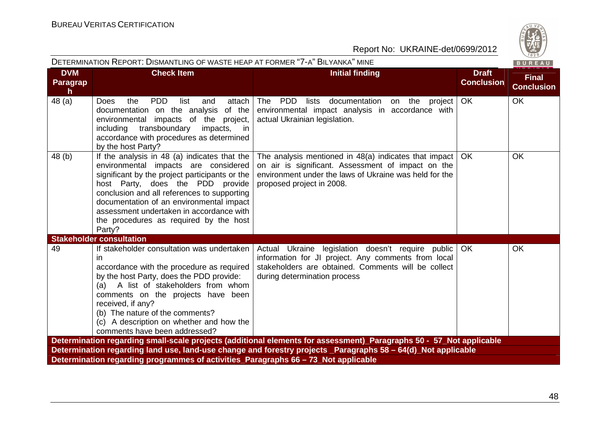| DETERMINATION REPORT: DISMANTLING OF WASTE HEAP AT FORMER "7-A" BILYANKA" MINE<br>BUREAU                      |                                                                                                                                                                                                                                                                                                                                                                       |                                                                                                                                                                                                           |                                   |                                   |  |  |  |
|---------------------------------------------------------------------------------------------------------------|-----------------------------------------------------------------------------------------------------------------------------------------------------------------------------------------------------------------------------------------------------------------------------------------------------------------------------------------------------------------------|-----------------------------------------------------------------------------------------------------------------------------------------------------------------------------------------------------------|-----------------------------------|-----------------------------------|--|--|--|
| <b>DVM</b><br>Paragrap<br>h                                                                                   | <b>Check Item</b>                                                                                                                                                                                                                                                                                                                                                     | <b>Initial finding</b>                                                                                                                                                                                    | <b>Draft</b><br><b>Conclusion</b> | <b>Final</b><br><b>Conclusion</b> |  |  |  |
| 48 (a)                                                                                                        | <b>PDD</b><br>Does<br>the<br>list<br>attach<br>and<br>documentation on the analysis<br>of the<br>environmental impacts of the project,<br>transboundary<br>impacts,<br>including<br>in in<br>accordance with procedures as determined<br>by the host Party?                                                                                                           | The PDD<br>documentation<br>lists<br>on the<br>project<br>environmental impact analysis in accordance with<br>actual Ukrainian legislation.                                                               | OK                                | OK                                |  |  |  |
| 48(b)                                                                                                         | If the analysis in 48 (a) indicates that the<br>environmental impacts are considered<br>significant by the project participants or the<br>host Party, does the PDD provide<br>conclusion and all references to supporting<br>documentation of an environmental impact<br>assessment undertaken in accordance with<br>the procedures as required by the host<br>Party? | The analysis mentioned in $48(a)$ indicates that impact   OK<br>on air is significant. Assessment of impact on the<br>environment under the laws of Ukraine was held for the<br>proposed project in 2008. |                                   | <b>OK</b>                         |  |  |  |
|                                                                                                               | <b>Stakeholder consultation</b>                                                                                                                                                                                                                                                                                                                                       |                                                                                                                                                                                                           |                                   |                                   |  |  |  |
| 49                                                                                                            | If stakeholder consultation was undertaken<br>in<br>accordance with the procedure as required<br>by the host Party, does the PDD provide:<br>(a) A list of stakeholders from whom<br>comments on the projects have been<br>received, if any?<br>(b) The nature of the comments?<br>(c) A description on whether and how the<br>comments have been addressed?          | Actual Ukraine legislation doesn't require public<br>information for JI project. Any comments from local<br>stakeholders are obtained. Comments will be collect<br>during determination process           | <b>OK</b>                         | <b>OK</b>                         |  |  |  |
|                                                                                                               |                                                                                                                                                                                                                                                                                                                                                                       | Determination regarding small-scale projects (additional elements for assessment)_Paragraphs 50 - 57_Not applicable                                                                                       |                                   |                                   |  |  |  |
| Determination regarding land use, land-use change and forestry projects _Paragraphs 58 – 64(d) Not applicable |                                                                                                                                                                                                                                                                                                                                                                       |                                                                                                                                                                                                           |                                   |                                   |  |  |  |
| Determination regarding programmes of activities Paragraphs 66 – 73 Not applicable                            |                                                                                                                                                                                                                                                                                                                                                                       |                                                                                                                                                                                                           |                                   |                                   |  |  |  |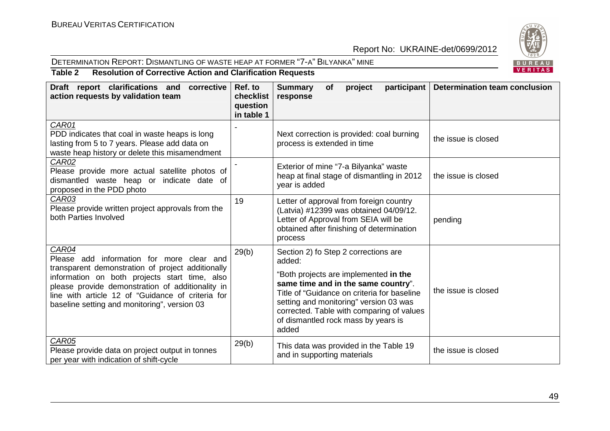#### DETERMINATION REPORT: DISMANTLING OF WASTE HEAP AT FORMER "7-A" <sup>B</sup>ILYANKA" MINE



**Table 2 Resolution of Corrective Action and Clarification Requests** 

| Draft report clarifications and<br>corrective<br>action requests by validation team                                                                                                                                                                                                                               | Ref. to<br>checklist<br>question<br>in table 1 | <b>Summary</b><br>participant<br>project<br><b>of</b><br>response                                                                                                                                                                                                                                                    | <b>Determination team conclusion</b> |
|-------------------------------------------------------------------------------------------------------------------------------------------------------------------------------------------------------------------------------------------------------------------------------------------------------------------|------------------------------------------------|----------------------------------------------------------------------------------------------------------------------------------------------------------------------------------------------------------------------------------------------------------------------------------------------------------------------|--------------------------------------|
| CAR01<br>PDD indicates that coal in waste heaps is long<br>lasting from 5 to 7 years. Please add data on<br>waste heap history or delete this misamendment                                                                                                                                                        |                                                | Next correction is provided: coal burning<br>process is extended in time                                                                                                                                                                                                                                             | the issue is closed                  |
| <b>CAR02</b><br>Please provide more actual satellite photos of<br>dismantled waste heap or indicate date of<br>proposed in the PDD photo                                                                                                                                                                          |                                                | Exterior of mine "7-a Bilyanka" waste<br>heap at final stage of dismantling in 2012<br>year is added                                                                                                                                                                                                                 | the issue is closed                  |
| CAR03<br>Please provide written project approvals from the<br>both Parties Involved                                                                                                                                                                                                                               | 19                                             | Letter of approval from foreign country<br>(Latvia) #12399 was obtained 04/09/12.<br>Letter of Approval from SEIA will be<br>obtained after finishing of determination<br>process                                                                                                                                    | pending                              |
| CAR04<br>Please add information for more clear and<br>transparent demonstration of project additionally<br>information on both projects start time, also<br>please provide demonstration of additionality in<br>line with article 12 of "Guidance of criteria for<br>baseline setting and monitoring", version 03 | 29(b)                                          | Section 2) fo Step 2 corrections are<br>added:<br>"Both projects are implemented in the<br>same time and in the same country".<br>Title of "Guidance on criteria for baseline<br>setting and monitoring" version 03 was<br>corrected. Table with comparing of values<br>of dismantled rock mass by years is<br>added | the issue is closed                  |
| <b>CAR05</b><br>Please provide data on project output in tonnes<br>per year with indication of shift-cycle                                                                                                                                                                                                        | 29(b)                                          | This data was provided in the Table 19<br>and in supporting materials                                                                                                                                                                                                                                                | the issue is closed                  |